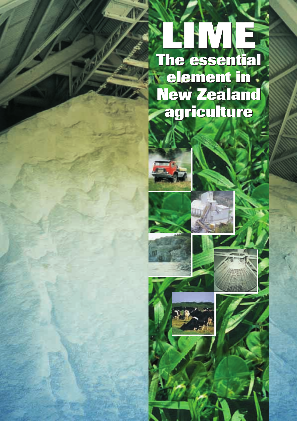# **LIME LIME The essential The essential element in New Zealand agriculture agricultureelement in New Zealand**







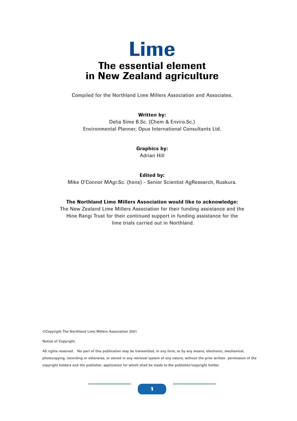# **Lime The essential element in New Zealand agriculture**

Compiled for the Northland Lime Millers Association and Associates.

#### **Written by:**

Delia Sime B.Sc. (Chem & Enviro.Sc.) Environmental Planner, Opus International Consultants Ltd.

> **Graphics by:** Adrian Hill

#### **Edited by:**

Mike O'Connor MAgr.Sc. (hons) - Senior Scientist AgResearch, Ruakura.

#### **The Northland Lime Millers Association would like to acknowledge:**

The New Zealand Lime Millers Association for their funding assistance and the Hine Rangi Trust for their continued support in funding assistance for the lime trials carried out in Northland.

©Copyright The Northland Lime Millers Association 2001

Notice of Copyright

All rights reserved. No part of this publication may be transmitted, in any form, or by any means, electronic, mechanical, photocopying, recording or otherwise, or stored in any retrieval system of any nature, without the prior written permission of the copyright holders and the publisher, application for which shall be made to the publisher/copyright holder.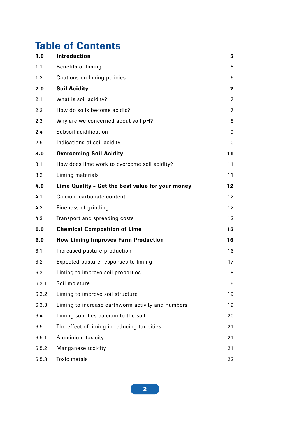## **Table of Contents**

| 1.0   | <b>Introduction</b>                               | 5                       |
|-------|---------------------------------------------------|-------------------------|
| 1.1   | Benefits of liming                                | 5                       |
| 1.2   | Cautions on liming policies                       | $6\phantom{1}6$         |
| 2.0   | <b>Soil Acidity</b>                               | $\overline{\mathbf{z}}$ |
| 2.1   | What is soil acidity?                             | 7                       |
| 2.2   | How do soils become acidic?                       | 7                       |
| 2.3   | Why are we concerned about soil pH?               | 8                       |
| 2.4   | Subsoil acidification                             | 9                       |
| 2.5   | Indications of soil acidity                       | 10                      |
| 3.0   | <b>Overcoming Soil Acidity</b>                    | 11                      |
| 3.1   | How does lime work to overcome soil acidity?      | 11                      |
| 3.2   | Liming materials                                  | 11                      |
| 4.0   | Lime Quality - Get the best value for your money  | 12                      |
| 4.1   | Calcium carbonate content                         | 12                      |
| 4.2   | Fineness of grinding                              | 12                      |
| 4.3   | Transport and spreading costs                     | 12                      |
| 5.0   | <b>Chemical Composition of Lime</b>               | 15                      |
| 6.0   | <b>How Liming Improves Farm Production</b>        | 16                      |
| 6.1   | Increased pasture production                      | 16                      |
| 6.2   | Expected pasture responses to liming              | 17                      |
| 6.3   | Liming to improve soil properties                 | 18                      |
| 6.3.1 | Soil moisture                                     | 18                      |
| 6.3.2 | Liming to improve soil structure                  | 19                      |
| 6.3.3 | Liming to increase earthworm activity and numbers | 19                      |
| 6.4   | Liming supplies calcium to the soil               | 20                      |
| 6.5   | The effect of liming in reducing toxicities       | 21                      |
| 6.5.1 | Aluminium toxicity                                | 21                      |
| 6.5.2 | Manganese toxicity                                | 21                      |
| 6.5.3 | <b>Toxic metals</b>                               | 22                      |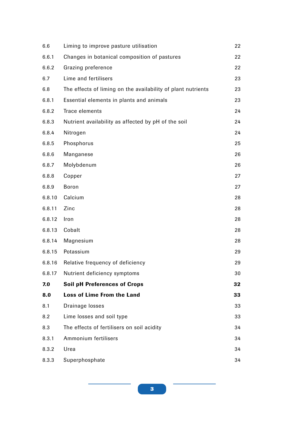| 6.6    | Liming to improve pasture utilisation                        | 22 |
|--------|--------------------------------------------------------------|----|
| 6.6.1  | Changes in botanical composition of pastures                 | 22 |
| 6.6.2  | Grazing preference                                           | 22 |
| 6.7    | Lime and fertilisers                                         | 23 |
| 6.8    | The effects of liming on the availability of plant nutrients | 23 |
| 6.8.1  | Essential elements in plants and animals                     | 23 |
| 6.8.2  | Trace elements                                               | 24 |
| 6.8.3  | Nutrient availability as affected by pH of the soil          | 24 |
| 6.8.4  | Nitrogen                                                     | 24 |
| 6.8.5  | Phosphorus                                                   | 25 |
| 6.8.6  | Manganese                                                    | 26 |
| 6.8.7  | Molybdenum                                                   | 26 |
| 6.8.8  | Copper                                                       | 27 |
| 6.8.9  | <b>Boron</b>                                                 | 27 |
| 6.8.10 | Calcium                                                      | 28 |
| 6.8.11 | Zinc                                                         | 28 |
| 6.8.12 | Iron                                                         | 28 |
| 6.8.13 | Cobalt                                                       | 28 |
| 6.8.14 | Magnesium                                                    | 28 |
| 6.8.15 | Potassium                                                    | 29 |
| 6.8.16 | Relative frequency of deficiency                             | 29 |
| 6.8.17 | Nutrient deficiency symptoms                                 | 30 |
| 7.0    | <b>Soil pH Preferences of Crops</b>                          | 32 |
| 8.0    | <b>Loss of Lime From the Land</b>                            | 33 |
| 8.1    | Drainage losses                                              | 33 |
| 8.2    | Lime losses and soil type                                    | 33 |
| 8.3    | The effects of fertilisers on soil acidity                   | 34 |
| 8.3.1  | Ammonium fertilisers                                         | 34 |
| 8.3.2  | Urea                                                         | 34 |
| 8.3.3  | Superphosphate                                               | 34 |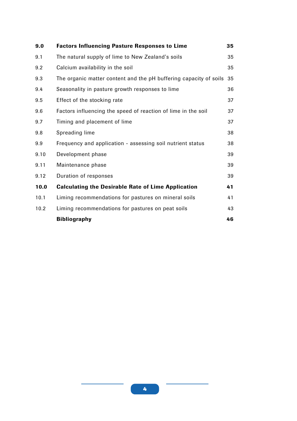| 9.0  | <b>Factors Influencing Pasture Responses to Lime</b>              | 35 |
|------|-------------------------------------------------------------------|----|
| 9.1  | The natural supply of lime to New Zealand's soils                 | 35 |
| 9.2  | Calcium availability in the soil                                  | 35 |
| 9.3  | The organic matter content and the pH buffering capacity of soils | 35 |
| 9.4  | Seasonality in pasture growth responses to lime                   | 36 |
| 9.5  | Effect of the stocking rate                                       | 37 |
| 9.6  | Factors influencing the speed of reaction of lime in the soil     | 37 |
| 9.7  | Timing and placement of lime                                      | 37 |
| 9.8  | Spreading lime                                                    | 38 |
| 9.9  | Frequency and application - assessing soil nutrient status        | 38 |
| 9.10 | Development phase                                                 | 39 |
| 9.11 | Maintenance phase                                                 | 39 |
| 9.12 | Duration of responses                                             | 39 |
| 10.0 | <b>Calculating the Desirable Rate of Lime Application</b>         | 41 |
| 10.1 | Liming recommendations for pastures on mineral soils              | 41 |
| 10.2 | Liming recommendations for pastures on peat soils                 | 43 |
|      | <b>Bibliography</b>                                               | 46 |
|      |                                                                   |    |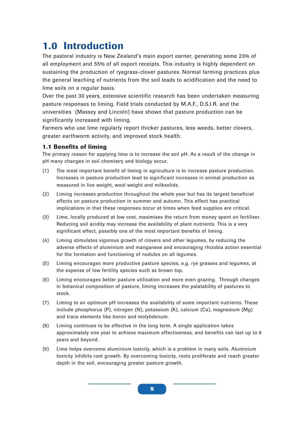## **1.0 Introduction**

The pastoral industry is New Zealand's main export earner, generating some 23% of all employment and 55% of all export receipts. This industry is highly dependent on sustaining the production of ryegrass-clover pastures. Normal farming practices plus the general leaching of nutrients from the soil leads to acidification and the need to lime soils on a regular basis.

Over the past 30 years, extensive scientific research has been undertaken measuring pasture responses to liming. Field trials conducted by M.A.F., D.S.I.R. and the universities (Massey and Lincoln) have shown that pasture production can be significantly increased with liming.

Farmers who use lime regularly report thicker pastures, less weeds, better clovers, greater earthworm activity, and improved stock health.

## **1.1 Benefits of liming**

The primary reason for applying lime is to increase the soil pH. As a result of the change in pH many changes in soil chemistry and biology occur.

- (1) The most important benefit of liming in agriculture is to increase pasture production. Increases in pasture production lead to significant increases in animal production as measured in live weight, wool weight and milksolids.
- (2) Liming increases production throughout the whole year but has its largest beneficial effects on pasture production in summer and autumn. This effect has practical implications in that these responses occur at times when feed supplies are critical.
- (3) Lime, locally produced at low cost, maximises the return from money spent on fertiliser. Reducing soil acidity may increase the availability of plant nutrients. This is a very significant effect, possibly one of the most important benefits of liming.
- (4) Liming stimulates vigorous growth of clovers and other legumes, by reducing the adverse effects of aluminium and manganese and encouraging rhizobia action essential for the formation and functioning of nodules on all legumes.
- (5) Liming encourages more productive pasture species, e.g. rye grasses and legumes, at the expense of low fertility species such as brown top.
- (6) Liming encourages better pasture utilisation and more even grazing. Through changes in botanical composition of pasture, liming increases the palatability of pastures to stock.
- (7) Liming to an optimum pH increases the availability of some important nutrients. These include phosphorus (P), nitrogen (N), potassium (K), calcium (Ca), magnesium (Mg) and trace elements like boron and molybdenum.
- (8) Liming continues to be effective in the long term. A single application takes approximately one year to achieve maximum effectiveness, and benefits can last up to 6 years and beyond.
- (9) Lime helps overcome aluminium toxicity, which is a problem in many soils. Aluminium toxicity inhibits root growth. By overcoming toxicity, roots proliferate and reach greater depth in the soil, encouraging greater pasture growth.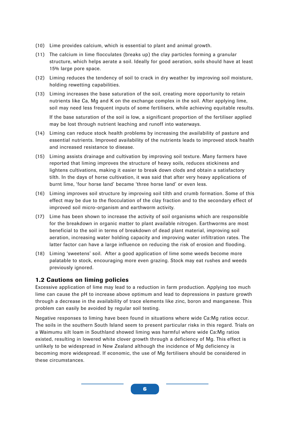- (10) Lime provides calcium, which is essential to plant and animal growth.
- (11) The calcium in lime flocculates (breaks up) the clay particles forming a granular structure, which helps aerate a soil. Ideally for good aeration, soils should have at least 15% large pore space.
- (12) Liming reduces the tendency of soil to crack in dry weather by improving soil moisture, holding rewetting capabilities.
- (13) Liming increases the base saturation of the soil, creating more opportunity to retain nutrients like Ca, Mg and K on the exchange complex in the soil. After applying lime, soil may need less frequent inputs of some fertilisers, while achieving equitable results.

If the base saturation of the soil is low, a significant proportion of the fertiliser applied may be lost through nutrient leaching and runoff into waterways.

- (14) Liming can reduce stock health problems by increasing the availability of pasture and essential nutrients. Improved availability of the nutrients leads to improved stock health and increased resistance to disease.
- (15) Liming assists drainage and cultivation by improving soil texture. Many farmers have reported that liming improves the structure of heavy soils, reduces stickiness and lightens cultivations, making it easier to break down clods and obtain a satisfactory tilth. In the days of horse cultivation, it was said that after very heavy applications of burnt lime, 'four horse land' became 'three horse land' or even less.
- (16) Liming improves soil structure by improving soil tilth and crumb formation. Some of this effect may be due to the flocculation of the clay fraction and to the secondary effect of improved soil micro-organism and earthworm activity.
- (17) Lime has been shown to increase the activity of soil organisms which are responsible for the breakdown in organic matter to plant available nitrogen. Earthworms are most beneficial to the soil in terms of breakdown of dead plant material, improving soil aeration, increasing water holding capacity and improving water infiltration rates. The latter factor can have a large influence on reducing the risk of erosion and flooding.
- (18) Liming 'sweetens' soil. After a good application of lime some weeds become more palatable to stock, encouraging more even grazing. Stock may eat rushes and weeds previously ignored.

## **1.2 Cautions on liming policies**

Excessive application of lime may lead to a reduction in farm production. Applying too much lime can cause the pH to increase above optimum and lead to depressions in pasture growth through a decrease in the availability of trace elements like zinc, boron and manganese. This problem can easily be avoided by regular soil testing.

Negative responses to liming have been found in situations where wide Ca:Mg ratios occur. The soils in the southern South Island seem to present particular risks in this regard. Trials on a Waimumu silt loam in Southland showed liming was harmful where wide Ca:Mg ratios existed, resulting in lowered white clover growth through a deficiency of Mg. This effect is unlikely to be widespread in New Zealand although the incidence of Mg deficiency is becoming more widespread. If economic, the use of Mg fertilisers should be considered in these circumstances.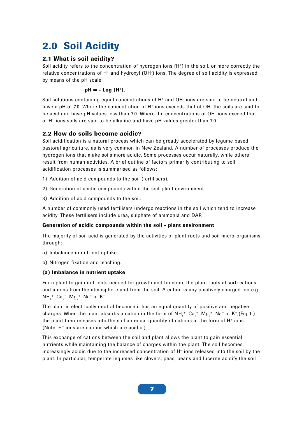## **2.0 Soil Acidity**

## **2.1 What is soil acidity?**

Soil acidity refers to the concentration of hydrogen ions  $(H<sup>+</sup>)$  in the soil, or more correctly the relative concentrations of H+ and hydroxyl (OH- ) ions. The degree of soil acidity is expressed by means of the pH scale:

### **pH = - Log [H+].**

Soil solutions containing equal concentrations of  $\mathsf{H}^*$  and  $\mathsf{OH}^*$  ions are said to be neutral and have a pH of 7.0. Where the concentration of H $^+$  ions exceeds that of OH $^+$  the soils are said to be acid and have pH values less than 7.0. Where the concentrations of OH- ions exceed that of H+ ions soils are said to be alkaline and have pH values greater than 7.0.

## **2.2 How do soils become acidic?**

Soil acidification is a natural process which can be greatly accelerated by legume based pastoral agriculture, as is very common in New Zealand. A number of processes produce the hydrogen ions that make soils more acidic. Some processes occur naturally, while others result from human activities. A brief outline of factors primarily contributing to soil acidification processes is summarised as follows:

- 1) Addition of acid compounds to the soil (fertilisers).
- 2) Generation of acidic compounds within the soil-plant environment.
- 3) Addition of acid compounds to the soil.

A number of commonly used fertilisers undergo reactions in the soil which tend to increase acidity. These fertilisers include urea, sulphate of ammonia and DAP.

## **Generation of acidic compounds within the soil - plant environment**

The majority of soil acid is generated by the activities of plant roots and soil micro-organisms through:

- a) Imbalance in nutrient uptake.
- b) Nitrogen fixation and leaching.

## **(a) Imbalance in nutrient uptake**

For a plant to gain nutrients needed for growth and function, the plant roots absorb cations and anions from the atmosphere and from the soil. A cation is any positively charged ion e.g.  $NH_{4}^+$ ,  $Ca_{2}^+$ ,  $Mg_{2}^+$ , Na<sup>+</sup> or K<sup>+</sup>.

The plant is electrically neutral because it has an equal quantity of positive and negative charges. When the plant absorbs a cation in the form of NH $_{{\scriptscriptstyle 4}}^+$ , Ca $_{{\scriptscriptstyle 2}}^+$ , Mg $_{{\scriptscriptstyle 2}}^+$ , Na $^+$  or K $^+$ ,(Fig 1.) the plant then releases into the soil an equal quantity of cations in the form of H+ ions. (Note: H+ ions are cations which are acidic.)

This exchange of cations between the soil and plant allows the plant to gain essential nutrients while maintaining the balance of charges within the plant. The soil becomes increasingly acidic due to the increased concentration of  $H<sup>+</sup>$  ions released into the soil by the plant. In particular, temperate legumes like clovers, peas, beans and lucerne acidify the soil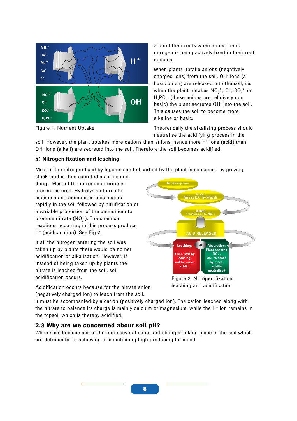

Figure 1. Nutrient Uptake

around their roots when atmospheric nitrogen is being actively fixed in their root nodules.

When plants uptake anions (negatively charged ions) from the soil, OH<sup>-</sup> ions (a basic anion) are released into the soil, i.e. when the plant uptakes  $\mathsf{NO}_{_{3}}^{\mathsf{2}\text{-}}, \mathsf{Cl}$  ,  $\mathsf{SO}_{_{4}}^{\mathsf{2}\text{-}}$  or  ${\sf H_2PO_4}^-$  (these anions are relatively non basic) the plant secretes OH<sup>-</sup> into the soil. This causes the soil to become more alkaline or basic.

Theoretically the alkalising process should neutralise the acidifying process in the

soil. However, the plant uptakes more cations than anions, hence more  $H^+$  ions (acid) than OH- ions (alkali) are secreted into the soil. Therefore the soil becomes acidified.

#### **b) Nitrogen fixation and leaching**

Most of the nitrogen fixed by legumes and absorbed by the plant is consumed by grazing

stock, and is then excreted as urine and dung. Most of the nitrogen in urine is present as urea. Hydrolysis of urea to ammonia and ammonium ions occurs rapidly in the soil followed by nitrification of a variable proportion of the ammonium to produce nitrate (NO $_{\scriptscriptstyle{3}}$ ). The chemical reactions occurring in this process produce H+ (acidic cation). See Fig 2.

If all the nitrogen entering the soil was taken up by plants there would be no net acidification or alkalisation. However, if instead of being taken up by plants the nitrate is leached from the soil, soil acidification occurs.



Figure 2. Nitrogen fixation, leaching and acidification.

Acidification occurs because for the nitrate anion (negatively charged ion) to leach from the soil,

it must be accompanied by a cation (positively charged ion). The cation leached along with the nitrate to balance its charge is mainly calcium or magnesium, while the  $H<sup>+</sup>$  ion remains in the topsoil which is thereby acidified.

## **2.3 Why are we concerned about soil pH?**

When soils become acidic there are several important changes taking place in the soil which are detrimental to achieving or maintaining high producing farmland.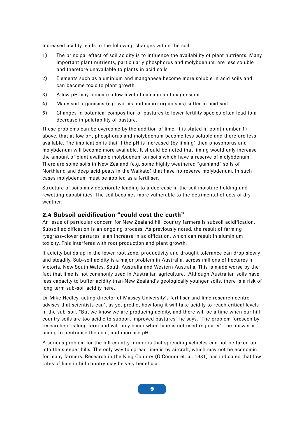Increased acidity leads to the following changes within the soil:

- 1) The principal effect of soil acidity is to influence the availability of plant nutrients. Many important plant nutrients, particularly phosphorus and molybdenum, are less soluble and therefore unavailable to plants in acid soils.
- 2) Elements such as aluminium and manganese become more soluble in acid soils and can become toxic to plant growth.
- 3) A low pH may indicate a low level of calcium and magnesium.
- 4) Many soil organisms (e.g. worms and micro-organisms) suffer in acid soil.
- 5) Changes in botanical composition of pastures to lower fertility species often lead to a decrease in palatability of pasture.

These problems can be overcome by the addition of lime. It is stated in point number 1) above, that at low pH, phosphorus and molybdenum become less soluble and therefore less available. The implication is that if the pH is increased (by liming) then phosphorus and molybdenum will become more available. It should be noted that liming would only increase the amount of plant available molybdenum on soils which have a reserve of molybdenum. There are some soils in New Zealand (e.g. some highly weathered "gumland" soils of Northland and deep acid peats in the Waikato) that have no reserve molybdenum. In such cases molybdenum must be applied as a fertiliser.

Structure of soils may deteriorate leading to a decrease in the soil moisture holding and rewetting capabilities. The soil becomes more vulnerable to the detrimental effects of dry weather.

## **2.4 Subsoil acidification "could cost the earth"**

An issue of particular concern for New Zealand hill country farmers is subsoil acidification. Subsoil acidification is an ongoing process. As previously noted, the result of farming ryegrass-clover pastures is an increase in acidification, which can result in aluminium toxicity. This interferes with root production and plant growth.

If acidity builds up in the lower root zone, productivity and drought tolerance can drop slowly and steadily. Sub-soil acidity is a major problem in Australia, across millions of hectares in Victoria, New South Wales, South Australia and Western Australia. This is made worse by the fact that lime is not commonly used in Australian agriculture. Although Australian soils have less capacity to buffer acidity than New Zealand's geologically younger soils, there is a risk of long term sub-soil acidity here.

Dr Mike Hedley, acting director of Massey University's fertiliser and lime research centre advises that scientists can't as yet predict how long it will take acidity to reach critical levels in the sub-soil. "But we know we are producing acidity, and there will be a time when our hill country soils are too acidic to support improved pastures" he says. "The problem foreseen by researchers is long term and will only occur when lime is not used regularly". The answer is liming to neutralise the acid, and increase pH.

A serious problem for the hill country farmer is that spreading vehicles can not be taken up into the steeper hills. The only way to spread lime is by aircraft, which may not be economic for many farmers. Research in the King Country (O'Connor et. al. 1981) has indicated that low rates of lime in hill country may be very beneficial.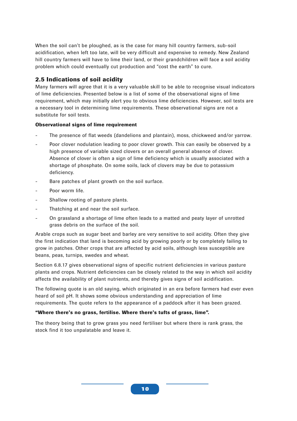When the soil can't be ploughed, as is the case for many hill country farmers, sub-soil acidification, when left too late, will be very difficult and expensive to remedy. New Zealand hill country farmers will have to lime their land, or their grandchildren will face a soil acidity problem which could eventually cut production and "cost the earth" to cure.

## **2.5 Indications of soil acidity**

Many farmers will agree that it is a very valuable skill to be able to recognise visual indicators of lime deficiencies. Presented below is a list of some of the observational signs of lime requirement, which may initially alert you to obvious lime deficiencies. However, soil tests are a necessary tool in determining lime requirements. These observational signs are not a substitute for soil tests.

#### **Observational signs of lime requirement**

- The presence of flat weeds (dandelions and plantain), moss, chickweed and/or yarrow.
- Poor clover nodulation leading to poor clover growth. This can easily be observed by a high presence of variable sized clovers or an overall general absence of clover. Absence of clover is often a sign of lime deficiency which is usually associated with a shortage of phosphate. On some soils, lack of clovers may be due to potassium deficiency.
- Bare patches of plant growth on the soil surface.
- Poor worm life.
- Shallow rooting of pasture plants.
- Thatching at and near the soil surface.
- On grassland a shortage of lime often leads to a matted and peaty layer of unrotted grass debris on the surface of the soil.

Arable crops such as sugar beet and barley are very sensitive to soil acidity. Often they give the first indication that land is becoming acid by growing poorly or by completely failing to grow in patches. Other crops that are affected by acid soils, although less susceptible are beans, peas, turnips, swedes and wheat.

Section 6.8.17 gives observational signs of specific nutrient deficiencies in various pasture plants and crops. Nutrient deficiencies can be closely related to the way in which soil acidity affects the availability of plant nutrients, and thereby gives signs of soil acidification.

The following quote is an old saying, which originated in an era before farmers had ever even heard of soil pH. It shows some obvious understanding and appreciation of lime requirements. The quote refers to the appearance of a paddock after it has been grazed.

#### **"Where there's no grass, fertilise. Where there's tufts of grass, lime".**

The theory being that to grow grass you need fertiliser but where there is rank grass, the stock find it too unpalatable and leave it.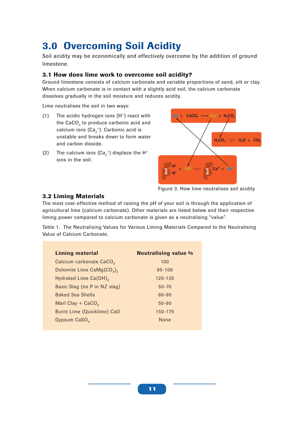## **3.0 Overcoming Soil Acidity**

Soil acidity may be economically and effectively overcome by the addition of ground limestone.

## **3.1 How does lime work to overcome soil acidity?**

Ground limestone consists of calcium carbonate and variable proportions of sand, silt or clay. When calcium carbonate is in contact with a slightly acid soil, the calcium carbonate dissolves gradually in the soil moisture and reduces acidity.

Lime neutralises the soil in two ways:

- (1) The acidic hydrogen ions  $(H^+)$  react with the CaCO $_{_3}$  to produce carbonic acid and calcium ions (Ca $_2^{\text{+}}$ ). Carbonic acid is unstable and breaks down to form water and carbon dioxide.
- (2) The calcium ions  $(Ca_2^+)$  displace the H<sup>+</sup> ions in the soil.



Figure 3. How lime neutralises soil acidity

## **3.2 Liming Materials**

The most cost-effective method of raising the pH of your soil is through the application of agricultural lime (calcium carbonate). Other materials are listed below and their respective liming power compared to calcium carbonate is given as a neutralising "value".

Table 1. The Neutralising Values for Various Liming Materials Compared to the Neutralising Value of Calcium Carbonate.

| <b>Liming material</b>                 | <b>Neutralising value %</b> |
|----------------------------------------|-----------------------------|
| Calcium carbonate CaCO <sub>3</sub>    | 100                         |
| Dolomite Lime $CaMg(CO3)$ <sub>2</sub> | $95 - 108$                  |
| Hydrated Lime Ca(OH) <sub>2</sub>      | 120-135                     |
| Basic Slag (no P in NZ slag)           | $50 - 70$                   |
| <b>Baked Sea Shells</b>                | $80 - 90$                   |
| Marl Clay + $CaCO3$                    | $50 - 90$                   |
| Burnt Lime (Quicklime) CaO             | 150-175                     |
| Gypsum $CaSO_{h}$                      | <b>None</b>                 |
|                                        |                             |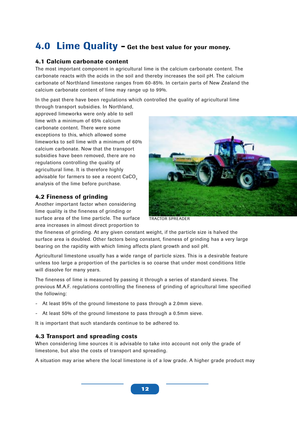## **4.0 Lime Quality - Get the best value for your money.**

## **4.1 Calcium carbonate content**

The most important component in agricultural lime is the calcium carbonate content. The carbonate reacts with the acids in the soil and thereby increases the soil pH. The calcium carbonate of Northland limestone ranges from 60-85%. In certain parts of New Zealand the calcium carbonate content of lime may range up to 99%.

In the past there have been regulations which controlled the quality of agricultural lime through transport subsidies. In Northland,

approved limeworks were only able to sell lime with a minimum of 65% calcium carbonate content. There were some exceptions to this, which allowed some limeworks to sell lime with a minimum of 60% calcium carbonate. Now that the transport subsidies have been removed, there are no regulations controlling the quality of agricultural lime. It is therefore highly advisable for farmers to see a recent CaCO<sub>3</sub> analysis of the lime before purchase.

## **4.2 Fineness of grinding**

Another important factor when considering lime quality is the fineness of grinding or surface area of the lime particle. The surface area increases in almost direct proportion to



TRACTOR SPREADER

the fineness of grinding. At any given constant weight, if the particle size is halved the surface area is doubled. Other factors being constant, fineness of grinding has a very large bearing on the rapidity with which liming affects plant growth and soil pH.

Agricultural limestone usually has a wide range of particle sizes. This is a desirable feature unless too large a proportion of the particles is so coarse that under most conditions little will dissolve for many years.

The fineness of lime is measured by passing it through a series of standard sieves. The previous M.A.F. regulations controlling the fineness of grinding of agricultural lime specified the following:

- At least 95% of the ground limestone to pass through a 2.0mm sieve.
- At least 50% of the ground limestone to pass through a 0.5mm sieve.

It is important that such standards continue to be adhered to.

## **4.3 Transport and spreading costs**

When considering lime sources it is advisable to take into account not only the grade of limestone, but also the costs of transport and spreading.

A situation may arise where the local limestone is of a low grade. A higher grade product may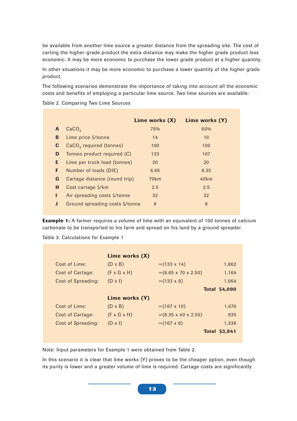be available from another lime source a greater distance from the spreading site. The cost of carting the higher-grade product the extra distance may make the higher grade product less economic. It may be more economic to purchase the lower grade product at a higher quantity.

In other situations it may be more economic to purchase a lower quantity of the higher grade product.

The following scenarios demonstrate the importance of taking into account all the economic costs and benefits of employing a particular lime source. Two lime sources are available:

Table 2. Comparing Two Lime Sources

|   |                                     | Lime works (X) | Lime works (Y) |
|---|-------------------------------------|----------------|----------------|
| A | CaCO <sub>3</sub>                   | 75%            | 60%            |
| B | Lime price \$/tonne                 | 14             | 10             |
| C | CaCO <sub>3</sub> required (tonnes) | 100            | 100            |
| D | Tonnes product required (C)         | 133            | 167            |
| E | Lime per truck load (tonnes)        | 20             | 20             |
| F | Number of loads (DIE)               | 6.65           | 8.35           |
| G | Cartage distance (round trip)       | 70km           | 40km           |
| н | Cost cartage \$/km                  | 2.5            | 2.5            |
| L | Air spreading costs \$/tonne        | 32             | 32             |
|   | Ground spreading costs \$/tonne     | 8              | 8              |
|   |                                     |                |                |

**Example 1:** A farmer requires a volume of lime with an equivalent of 100 tonnes of calcium carbonate to be transported to his farm and spread on his land by a ground spreader.

Table 3. Calculations for Example 1

|                    | Lime works (X)          |                                 |                      |
|--------------------|-------------------------|---------------------------------|----------------------|
| Cost of Lime:      | $(D \times B)$          | $=$ (133 x 14)                  | 1,862                |
| Cost of Cartage:   | $(F \times G \times H)$ | $=(6.65 \times 70 \times 2.50)$ | 1,164                |
| Cost of Spreading: | $(D \times I)$          | $=$ (133 x 8)                   | 1,064                |
|                    |                         |                                 | <b>Total \$4,090</b> |
|                    | Lime works (Y)          |                                 |                      |
| Cost of Lime:      | $(D \times B)$          | $=(167 \times 10)$              | 1.670                |
| Cost of Cartage:   | $(F \times G \times H)$ | $=(8.35 \times 40 \times 2.50)$ | 835                  |
| Cost of Spreading: | $(D \times I)$          | $=(167 \times 8)$               | 1,336                |
|                    |                         |                                 | <b>Total \$3,841</b> |

Note: Input parameters for Example 1 were obtained from Table 2.

In this scenario it is clear that lime works (Y) proves to be the cheaper option, even though its purity is lower and a greater volume of lime is required. Cartage costs are significantly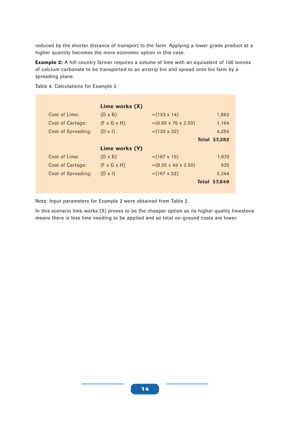reduced by the shorter distance of transport to the farm. Applying a lower grade product at a higher quantity becomes the more economic option in this case.

**Example 2:** A hill country farmer requires a volume of lime with an equivalent of 100 tonnes of calcium carbonate to be transported to an airstrip bin and spread onto his farm by a spreading plane.

|                    | Lime works (X)          |                                 |                      |
|--------------------|-------------------------|---------------------------------|----------------------|
| Cost of Lime:      | $(D \times B)$          | $=$ (133 x 14)                  | 1,862                |
| Cost of Cartage:   | $(F \times G \times H)$ | $=(6.65 \times 70 \times 2.50)$ | 1,164                |
| Cost of Spreading: | $(D \times I)$          | $=$ (133 x 32)                  | 4.256                |
|                    |                         |                                 | <b>Total \$7,282</b> |
|                    | Lime works (Y)          |                                 |                      |
| Cost of Lime:      | $(D \times B)$          | $=(167 \times 10)$              | 1,670                |
| Cost of Cartage:   | $(F \times G \times H)$ | $=(8.35 \times 40 \times 2.50)$ | 835                  |
| Cost of Spreading: | $(D \times I)$          | $=(167 \times 32)$              | 5.344                |
|                    |                         |                                 | <b>Total \$7,849</b> |
|                    |                         |                                 |                      |

Table 4. Calculations for Example 2

Note: Input parameters for Example 2 were obtained from Table 2.

In this scenario lime works (X) proves to be the cheaper option as its higher quality limestone means there is less lime needing to be applied and so total on-ground costs are lower.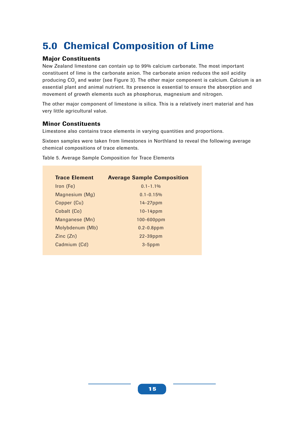## **5.0 Chemical Composition of Lime**

## **Major Constituents**

New Zealand limestone can contain up to 99% calcium carbonate. The most important constituent of lime is the carbonate anion. The carbonate anion reduces the soil acidity producing CO $_{\tiny 2}$  and water (see Figure 3). The other major component is calcium. Calcium is an essential plant and animal nutrient. Its presence is essential to ensure the absorption and movement of growth elements such as phosphorus, magnesium and nitrogen.

The other major component of limestone is silica. This is a relatively inert material and has very little agricultural value.

## **Minor Constituents**

Limestone also contains trace elements in varying quantities and proportions.

Sixteen samples were taken from limestones in Northland to reveal the following average chemical compositions of trace elements.

Table 5. Average Sample Composition for Trace Elements

| <b>Trace Element</b>                    | <b>Average Sample Composition</b> |
|-----------------------------------------|-----------------------------------|
| Iron (Fe)                               | $0.1 - 1.1\%$                     |
| Magnesium (Mg)                          | $0.1 - 0.15\%$                    |
| Copper (Cu)                             | $14-27$ ppm                       |
| Cobalt (Co)                             | $10-14$ ppm                       |
| Manganese (Mn)                          | $100 - 600$ ppm                   |
| Molybdenum (Mb)                         | $0.2 - 0.8$ ppm                   |
| $\mathsf{Zinc}\left(\mathsf{Zn}\right)$ | $22 - 39$ ppm                     |
| Cadmium (Cd)                            | $3-5$ ppm                         |
|                                         |                                   |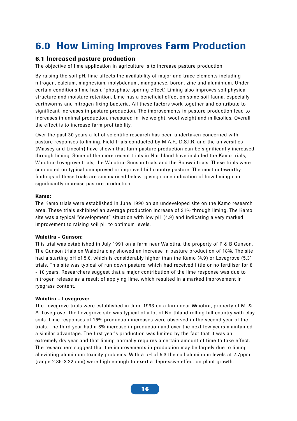## **6.0 How Liming Improves Farm Production**

#### **6.1 Increased pasture production**

The objective of lime application in agriculture is to increase pasture production.

By raising the soil pH, lime affects the availability of major and trace elements including nitrogen, calcium, magnesium, molybdenum, manganese, boron, zinc and aluminium. Under certain conditions lime has a 'phosphate sparing effect'. Liming also improves soil physical structure and moisture retention. Lime has a beneficial effect on some soil fauna, especially earthworms and nitrogen fixing bacteria. All these factors work together and contribute to significant increases in pasture production. The improvements in pasture production lead to increases in animal production, measured in live weight, wool weight and milksolids. Overall the effect is to increase farm profitability.

Over the past 30 years a lot of scientific research has been undertaken concerned with pasture responses to liming. Field trials conducted by M.A.F., D.S.I.R. and the universities (Massey and Lincoln) have shown that farm pasture production can be significantly increased through liming. Some of the more recent trials in Northland have included the Kamo trials, Waiotira-Lovegrove trials, the Waiotira-Gunson trials and the Ruawai trials. These trials were conducted on typical unimproved or improved hill country pasture. The most noteworthy findings of these trials are summarised below, giving some indication of how liming can significantly increase pasture production.

#### **Kamo:**

The Kamo trials were established in June 1990 on an undeveloped site on the Kamo research area. These trials exhibited an average production increase of 31% through liming. The Kamo site was a typical "development" situation with low pH (4.9) and indicating a very marked improvement to raising soil pH to optimum levels.

#### **Waiotira - Gunson:**

This trial was established in July 1991 on a farm near Waiotira, the property of P & B Gunson. The Gunson trials on Waiotira clay showed an increase in pasture production of 18%. The site had a starting pH of 5.6, which is considerably higher than the Kamo (4.9) or Lovegrove (5.3) trials. This site was typical of run down pasture, which had received little or no fertiliser for 8 - 10 years. Researchers suggest that a major contribution of the lime response was due to nitrogen release as a result of applying lime, which resulted in a marked improvement in ryegrass content.

#### **Waiotira - Lovegrove:**

The Lovegrove trials were established in June 1993 on a farm near Waiotira, property of M. & A. Lovegrove. The Lovegrove site was typical of a lot of Northland rolling hill country with clay soils. Lime responses of 15% production increases were observed in the second year of the trials. The third year had a 6% increase in production and over the next few years maintained a similar advantage. The first year's production was limited by the fact that it was an extremely dry year and that liming normally requires a certain amount of time to take effect. The researchers suggest that the improvements in production may be largely due to liming alleviating aluminium toxicity problems. With a pH of 5.3 the soil aluminium levels at 2.7ppm (range 2.35-3.22ppm) were high enough to exert a depressive effect on plant growth.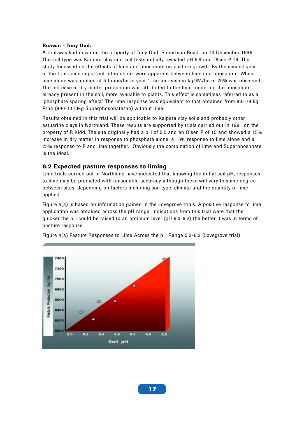#### **Ruawai - Tony Oud:**

A trial was laid down on the property of Tony Oud, Robertson Road, on 10 December 1996. The soil type was Kaipara clay and soil tests initially revealed pH 5.9 and Olsen P 16. The study focussed on the effects of lime and phosphate on pasture growth. By the second year of the trial some important interactions were apparent between lime and phosphate. When lime alone was applied at 5 tonne/ha in year 1, an increase in kgDM/ha of 20% was observed. The increase in dry matter production was attributed to the lime rendering the phosphate already present in the soil, more available to plants. This effect is sometimes referred to as a 'phosphate sparing effect'. The lime response was equivalent to that obtained from 80-100kg P/ha (890-1110kg Superphosphate/ha) without lime.

Results obtained in this trial will be applicable to Kaipara clay soils and probably other estuarine clays in Northland. These results are supported by trials carried out in 1991 on the property of R Kidd. The site originally had a pH of 5.5 and an Olsen P of 15 and showed a 15% increase in dry matter in response to phosphate alone, a 16% response to lime alone and a 25% response to P and lime together. Obviously the combination of lime and Superphosphate is the ideal.

#### **6.2 Expected pasture responses to liming**

Lime trials carried out in Northland have indicated that knowing the initial soil pH, responses to lime may be predicted with reasonable accuracy although these will vary to some degree between sites, depending on factors including soil type, climate and the quantity of lime applied.

Figure 4(a) is based on information gained in the Lovegrove trials. A positive response to lime application was obtained across the pH range. Indications from this trial were that the quicker the pH could be raised to an optimum level (pH 6.0-6.2) the better it was in terms of pasture response.



Figure 4(a) Pasture Responses to Lime Across the pH Range 5.2-6.2 (Lovegrove trial)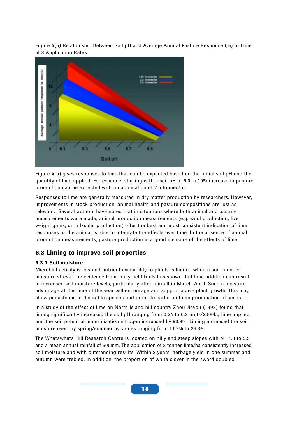Figure 4(b) Relationship Between Soil pH and Average Annual Pasture Response (%) to Lime at 3 Application Rates



Figure 4(b) gives responses to lime that can be expected based on the initial soil pH and the quantity of lime applied. For example, starting with a soil pH of 5.0, a 10% increase in pasture production can be expected with an application of 2.5 tonnes/ha.

Responses to lime are generally measured in dry matter production by researchers. However, improvements in stock production, animal health and pasture compositions are just as relevant. Several authors have noted that in situations where both animal and pasture measurements were made, animal production measurements (e.g. wool production, live weight gains, or milksolid production) offer the best and most consistent indication of lime responses as the animal is able to integrate the effects over time. In the absence of animal production measurements, pasture production is a good measure of the effects of lime.

## **6.3 Liming to improve soil properties**

#### **6.3.1 Soil moisture**

Microbial activity is low and nutrient availability to plants is limited when a soil is under moisture stress. The evidence from many field trials has shown that lime addition can result in increased soil moisture levels, particularly after rainfall in March-April. Such a moisture advantage at this time of the year will encourage and support active plant growth. This may allow persistence of desirable species and promote earlier autumn germination of seeds.

In a study of the effect of lime on North Island hill country Zhou Jiayou (1993) found that liming significantly increased the soil pH ranging from 0.24 to 0.3 units/2000kg lime applied, and the soil potential mineralization nitrogen increased by 93.8%. Liming increased the soil moisture over dry spring/summer by values ranging from 11.2% to 26.3%.

The Whatawhata Hill Research Centre is located on hilly and steep slopes with pH 4.8 to 5.5 and a mean annual rainfall of 600mm. The application of 3 tonnes lime/ha consistently increased soil moisture and with outstanding results. Within 2 years, herbage yield in one summer and autumn were trebled. In addition, the proportion of white clover in the sward doubled.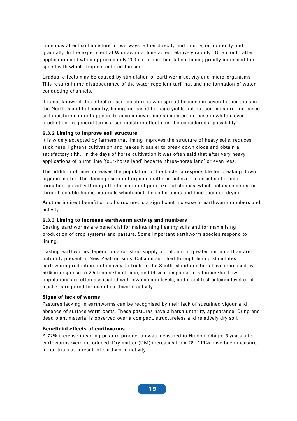Lime may affect soil moisture in two ways, either directly and rapidly, or indirectly and gradually. In the experiment at Whatawhata, lime acted relatively rapidly. One month after application and when approximately 200mm of rain had fallen, liming greatly increased the speed with which droplets entered the soil.

Gradual effects may be caused by stimulation of earthworm activity and micro-organisms. This results in the disappearance of the water repellent turf mat and the formation of water conducting channels.

It is not known if this effect on soil moisture is widespread because in several other trials in the North Island hill country, liming increased herbage yields but not soil moisture. Increased soil moisture content appears to accompany a lime stimulated increase in white clover production. In general terms a soil moisture effect must be considered a possibility.

#### **6.3.2 Liming to improve soil structure**

It is widely accepted by farmers that liming improves the structure of heavy soils, reduces stickiness, lightens cultivation and makes it easier to break down clods and obtain a satisfactory tilth. In the days of horse cultivation it was often said that after very heavy applications of burnt lime 'four-horse land' became 'three-horse land' or even less.

The addition of lime increases the population of the bacteria responsible for breaking down organic matter. The decomposition of organic matter is believed to assist soil crumb formation, possibly through the formation of gum-like substances, which act as cements, or through soluble humic materials which coat the soil crumbs and bind them on drying.

Another indirect benefit on soil structure, is a significant increase in earthworm numbers and activity.

#### **6.3.3 Liming to increase earthworm activity and numbers**

Casting earthworms are beneficial for maintaining healthy soils and for maximising production of crop systems and pasture. Some important earthworm species respond to liming.

Casting earthworms depend on a constant supply of calcium in greater amounts than are naturally present in New Zealand soils. Calcium supplied through liming stimulates earthworm production and activity. In trials in the South Island numbers have increased by 50% in response to 2.5 tonnes/ha of lime, and 90% in response to 5 tonnes/ha. Low populations are often associated with low calcium levels, and a soil test calcium level of at least 7 is required for useful earthworm activity.

#### **Signs of lack of worms**

Pastures lacking in earthworms can be recognised by their lack of sustained vigour and absence of surface worm casts. These pastures have a harsh unthrifty appearance. Dung and dead plant material is observed over a compact, structureless and relatively dry soil.

#### **Beneficial effects of earthworms**

A 72% increase in spring pasture production was measured in Hindon, Otago, 5 years after earthworms were introduced. Dry matter (DM) increases from 28 -111% have been measured in pot trials as a result of earthworm activity.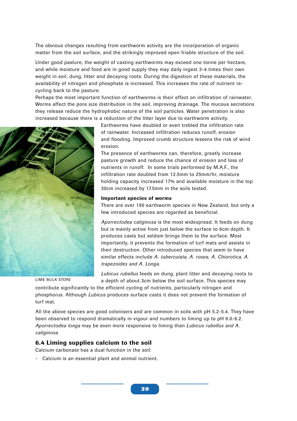The obvious changes resulting from earthworm activity are the incorporation of organic matter from the soil surface, and the strikingly improved open friable structure of the soil.

Under good pasture, the weight of casting earthworms may exceed one tonne per hectare, and while moisture and food are in good supply they may daily ingest 3-4 times their own weight in soil, dung, litter and decaying roots. During the digestion of these materials, the availability of nitrogen and phosphate is increased. This increases the rate of nutrient recycling back to the pasture.

Perhaps the most important function of earthworms is their effect on infiltration of rainwater. Worms affect the pore size distribution in the soil, improving drainage. The mucous secretions they release reduce the hydrophobic nature of the soil particles. Water penetration is also increased because there is a reduction of the litter layer due to earthworm activity.



Earthworms have doubled or even trebled the infiltration rate of rainwater. Increased infiltration reduces runoff, erosion and flooding. Improved crumb structure lessens the risk of wind erosion.

The presence of earthworms can, therefore, greatly increase pasture growth and reduce the chance of erosion and loss of nutrients in runoff. In some trials performed by M.A.F., the infiltration rate doubled from 12.5mm to 25mm/hr, moisture holding capacity increased 17% and available moisture in the top 30cm increased by 17.5mm in the soils tested.

#### **Important species of worms**

There are over 190 earthworm species in New Zealand, but only a few introduced species are regarded as beneficial.

*Aporrectodea caliginosa* is the most widespread. It feeds on dung but is mainly active from just below the surface to 6cm depth. It produces casts but seldom brings them to the surface. Most importantly, it prevents the formation of turf mats and assists in their destruction. Other introduced species that seem to have similar effects include *A. tubercuiata, A. rosea, A. Chiorotica, A. trapezoides and A. Longa.*

#### LIME BULK STORE

*Lubicus rubellus* feeds on dung, plant litter and decaying roots to a depth of about 3cm below the soil surface. This species may

contribute significantly to the efficient cycling of nutrients, particularly nitrogen and phosphorus. Although *Lubicus* produces surface casts it does not prevent the formation of turf mat.

All the above species are good colonisers and are common in soils with pH 5.2-5.4. They have been observed to respond dramatically in vigour and numbers to liming up to pH 6.0-6.2. *Aporrectodea longa* may be even more responsive to liming than *Lubicus rubellus and A. caliginosa.*

#### **6.4 Liming supplies calcium to the soil**

Calcium carbonate has a dual function in the soil:

- Calcium is an essential plant and animal nutrient.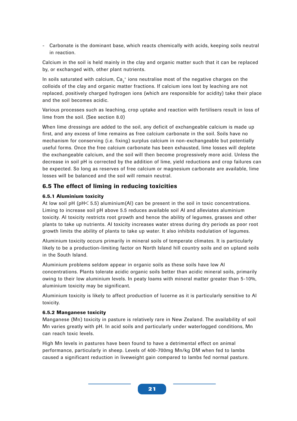- Carbonate is the dominant base, which reacts chemically with acids, keeping soils neutral in reaction.

Calcium in the soil is held mainly in the clay and organic matter such that it can be replaced by, or exchanged with, other plant nutrients.

In soils saturated with calcium,  $\textsf{Ca}_2^{\scriptscriptstyle +}$  ions neutralise most of the negative charges on the colloids of the clay and organic matter fractions. If calcium ions lost by leaching are not replaced, positively charged hydrogen ions (which are responsible for acidity) take their place and the soil becomes acidic.

Various processes such as leaching, crop uptake and reaction with fertilisers result in loss of lime from the soil. (See section 8.0)

When lime dressings are added to the soil, any deficit of exchangeable calcium is made up first, and any excess of lime remains as free calcium carbonate in the soil. Soils have no mechanism for conserving (i.e. fixing) surplus calcium in non-exchangeable but potentially useful forms. Once the free calcium carbonate has been exhausted, lime losses will deplete the exchangeable calcium, and the soil will then become progressively more acid. Unless the decrease in soil pH is corrected by the addition of lime, yield reductions and crop failures can be expected. So long as reserves of free calcium or magnesium carbonate are available, lime losses will be balanced and the soil will remain neutral.

## **6.5 The effect of liming in reducing toxicities**

#### **6.5.1 Aluminium toxicity**

At low soil pH ( $pH \leq 5.5$ ) aluminium(Al) can be present in the soil in toxic concentrations. Liming to increase soil pH above 5.5 reduces available soil Al and alleviates aluminium toxicity. Al toxicity restricts root growth and hence the ability of legumes, grasses and other plants to take up nutrients. Al toxicity increases water stress during dry periods as poor root growth limits the ability of plants to take up water. It also inhibits nodulation of legumes.

Aluminium toxicity occurs primarily in mineral soils of temperate climates. It is particularly likely to be a production-limiting factor on North Island hill country soils and on upland soils in the South Island.

Aluminium problems seldom appear in organic soils as these soils have low Al concentrations. Plants tolerate acidic organic soils better than acidic mineral soils, primarily owing to their low aluminium levels. In peaty loams with mineral matter greater than 5-10%, aluminium toxicity may be significant.

Aluminium toxicity is likely to affect production of lucerne as it is particularly sensitive to Al toxicity.

#### **6.5.2 Manganese toxicity**

Manganese (Mn) toxicity in pasture is relatively rare in New Zealand. The availability of soil Mn varies greatly with pH. In acid soils and particularly under waterlogged conditions, Mn can reach toxic levels.

High Mn levels in pastures have been found to have a detrimental effect on animal performance, particularly in sheep. Levels of 400-700mg Mn/kg DM when fed to lambs caused a significant reduction in liveweight gain compared to lambs fed normal pasture.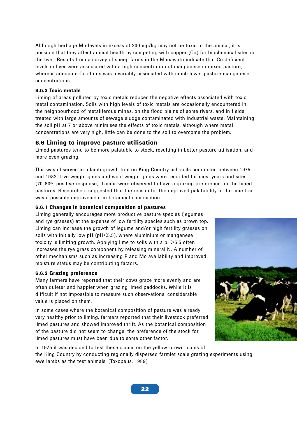Although herbage Mn levels in excess of 200 mg/kg may not be toxic to the animal, it is possible that they affect animal health by competing with copper (Cu) for biochemical sites in the liver. Results from a survey of sheep farms in the Manawatu indicate that Cu deficient levels in liver were associated with a high concentration of manganese in mixed pasture, whereas adequate Cu status was invariably associated with much lower pasture manganese concentrations.

#### **6.5.3 Toxic metals**

Liming of areas polluted by toxic metals reduces the negative effects associated with toxic metal contamination. Soils with high levels of toxic metals are occasionally encountered in the neighbourhood of metaliferous mines, on the flood plains of some rivers, and in fields treated with large amounts of sewage sludge contaminated with industrial waste. Maintaining the soil pH at 7 or above minimises the effects of toxic metals, although where metal concentrations are very high, little can be done to the soil to overcome the problem.

#### **6.6 Liming to improve pasture utilisation**

Limed pastures tend to be more palatable to stock, resulting in better pasture utilisation, and more even grazing.

This was observed in a lamb growth trial on King Country ash soils conducted between 1975 and 1982. Live weight gains and wool weight gains were recorded for most years and sites (70-80% positive response). Lambs were observed to have a grazing preference for the limed pastures. Researchers suggested that the reason for the improved palatability in the lime trial was a possible improvement in botanical composition.

#### **6.6.1 Changes in botanical composition of pastures**

Liming generally encourages more productive pasture species (legumes and rye grasses) at the expense of low fertility species such as brown top. Liming can increase the growth of legume and/or high fertility grasses on soils with initially low pH (pH<5.5), where aluminium or manganese toxicity is limiting growth. Applying lime to soils with a pH>5.5 often increases the rye grass component by releasing mineral N. A number of other mechanisms such as increasing P and Mo availability and improved moisture status may be contributing factors.

#### **6.6.2 Grazing preference**

Many farmers have reported that their cows graze more evenly and are often quieter and happier when grazing limed paddocks. While it is difficult if not impossible to measure such observations, considerable value is placed on them.

In some cases where the botanical composition of pasture was already very healthy prior to liming, farmers reported that their livestock preferred limed pastures and showed improved thrift. As the botanical composition of the pasture did not seem to change, the preference of the stock for limed pastures must have been due to some other factor.



In 1975 it was decided to test these claims on the yellow-brown loams of the King Country by conducting regionally dispersed farmlet scale grazing experiments using ewe lambs as the test animals. (Toxopeus, 1989)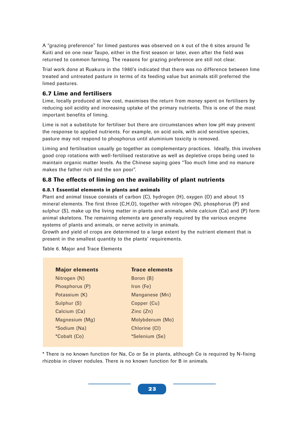A "grazing preference" for limed pastures was observed on 4 out of the 6 sites around Te Kuiti and on one near Taupo, either in the first season or later, even after the field was returned to common farming. The reasons for grazing preference are still not clear.

Trial work done at Ruakura in the 1980's indicated that there was no difference between lime treated and untreated pasture in terms of its feeding value but animals still preferred the limed pastures.

## **6.7 Lime and fertilisers**

Lime, locally produced at low cost, maximises the return from money spent on fertilisers by reducing soil acidity and increasing uptake of the primary nutrients. This is one of the most important benefits of liming.

Lime is not a substitute for fertiliser but there are circumstances when low pH may prevent the response to applied nutrients. For example, on acid soils, with acid sensitive species, pasture may not respond to phosphorus until aluminium toxicity is removed.

Liming and fertilisation usually go together as complementary practices. Ideally, this involves good crop rotations with well-fertilised restorative as well as depletive crops being used to maintain organic matter levels. As the Chinese saying goes "Too much lime and no manure makes the father rich and the son poor".

## **6.8 The effects of liming on the availability of plant nutrients**

#### **6.8.1 Essential elements in plants and animals**

Plant and animal tissue consists of carbon (C), hydrogen (H), oxygen (O) and about 15 mineral elements. The first three (C,H,O), together with nitrogen (N), phosphorus (P) and sulphur (S), make up the living matter in plants and animals, while calcium (Ca) and (P) form animal skeletons. The remaining elements are generally required by the various enzyme systems of plants and animals, or nerve activity in animals.

Growth and yield of crops are determined to a large extent by the nutrient element that is present in the smallest quantity to the plants' requirements.

Table 6. Major and Trace Elements

| <b>Major elements</b> | <b>Trace elements</b> |
|-----------------------|-----------------------|
| Nitrogen (N)          | Boron (B)             |
| Phosphorus (P)        | Iron (Fe)             |
| Potassium (K)         | Manganese (Mn)        |
| Sulphur (S)           | Copper (Cu)           |
| Calcium (Ca)          | Zinc(Zn)              |
| Magnesium (Mg)        | Molybdenum (Mo)       |
| *Sodium (Na)          | Chlorine (CI)         |
| *Cobalt (Co)          | *Selenium (Se)        |
|                       |                       |

\* There is no known function for Na, Co or Se in plants, although Co is required by N-fixing rhizobia in clover nodules. There is no known function for B in animals.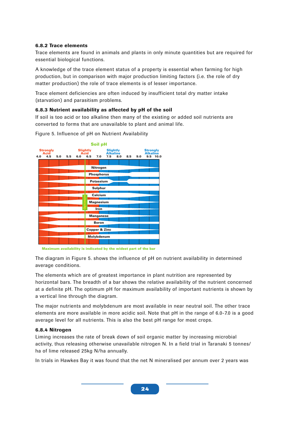#### **6.8.2 Trace elements**

Trace elements are found in animals and plants in only minute quantities but are required for essential biological functions.

A knowledge of the trace element status of a property is essential when farming for high production, but in comparison with major production limiting factors (i.e. the role of dry matter production) the role of trace elements is of lesser importance.

Trace element deficiencies are often induced by insufficient total dry matter intake (starvation) and parasitism problems.

#### **6.8.3 Nutrient availability as affected by pH of the soil**

If soil is too acid or too alkaline then many of the existing or added soil nutrients are converted to forms that are unavailable to plant and animal life.



Figure 5. Influence of pH on Nutrient Availability

The diagram in Figure 5. shows the influence of pH on nutrient availability in determined average conditions.

The elements which are of greatest importance in plant nutrition are represented by horizontal bars. The breadth of a bar shows the relative availability of the nutrient concerned at a definite pH. The optimum pH for maximum availability of important nutrients is shown by a vertical line through the diagram.

The major nutrients and molybdenum are most available in near neutral soil. The other trace elements are more available in more acidic soil. Note that pH in the range of 6.0-7.0 is a good average level for all nutrients. This is also the best pH range for most crops.

#### **6.8.4 Nitrogen**

Liming increases the rate of break down of soil organic matter by increasing microbial activity, thus releasing otherwise unavailable nitrogen N. In a field trial in Taranaki 5 tonnes/ ha of lime released 25kg N/ha annually.

In trials in Hawkes Bay it was found that the net N mineralised per annum over 2 years was

**Maximum availability is indicated by the widest part of the bar**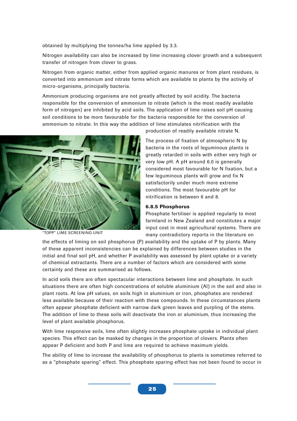obtained by multiplying the tonnes/ha lime applied by 3.3.

Nitrogen availability can also be increased by lime increasing clover growth and a subsequent transfer of nitrogen from clover to grass.

Nitrogen from organic matter, either from applied organic manures or from plant residues, is converted into ammonium and nitrate forms which are available to plants by the activity of micro-organisms, principally bacteria.

Ammonium producing organisms are not greatly affected by soil acidity. The bacteria responsible for the conversion of ammonium to nitrate (which is the most readily available form of nitrogen) are inhibited by acid soils. The application of lime raises soil pH causing soil conditions to be more favourable for the bacteria responsible for the conversion of ammonium to nitrate. In this way the addition of lime stimulates nitrification with the



"TOPP" LIME SCREENING UNIT

production of readily available nitrate N.

The process of fixation of atmospheric N by bacteria in the roots of leguminous plants is greatly retarded in soils with either very high or very low pH. A pH around 6.0 is generally considered most favourable for N fixation, but a few leguminous plants will grow and fix N satisfactorily under much more extreme conditions. The most favourable pH for nitrification is between 6 and 8.

#### **6.8.5 Phosphorus**

Phosphate fertiliser is applied regularly to most farmland in New Zealand and constitutes a major input cost in most agricultural systems. There are many contradictory reports in the literature on

the effects of liming on soil phosphorus (P) availability and the uptake of P by plants. Many of these apparent inconsistencies can be explained by differences between studies in the initial and final soil pH, and whether P availability was assessed by plant uptake or a variety of chemical extractants. There are a number of factors which are considered with some certainty and these are summarised as follows.

In acid soils there are often spectacular interactions between lime and phosphate. In such situations there are often high concentrations of soluble aluminium (Al) in the soil and also in plant roots. At low pH values, on soils high in aluminium or iron, phosphates are rendered less available because of their reaction with these compounds. In these circumstances plants often appear phosphate deficient with narrow dark green leaves and purpling of the stems. The addition of lime to these soils will deactivate the iron or aluminium, thus increasing the level of plant available phosphorus.

With lime responsive soils, lime often slightly increases phosphate uptake in individual plant species. This effect can be masked by changes in the proportion of clovers. Plants often appear P deficient and both P and lime are required to achieve maximum yields.

The ability of lime to increase the availability of phosphorus to plants is sometimes referred to as a "phosphate sparing" effect. This phosphate sparing effect has not been found to occur in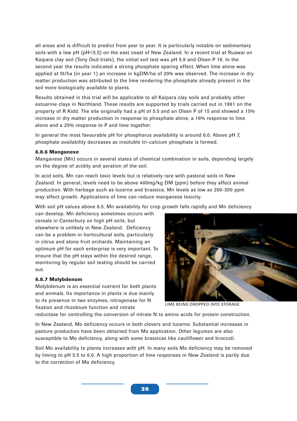all areas and is difficult to predict from year to year. It is particularly notable on sedimentary soils with a low pH (pH<5.5) on the east coast of New Zealand. In a recent trial at Ruawai on Kaipara clay soil (Tony Oud trials), the initial soil test was pH 5.9 and Olsen P 16. In the second year the results indicated a strong phosphate sparing effect. When lime alone was applied at 5t/ha (in year 1) an increase in kgDM/ha of 20% was observed. The increase in dry matter production was attributed to the lime rendering the phosphate already present in the soil more biologically available to plants.

Results obtained in this trial will be applicable to all Kaipara clay soils and probably other estuarine clays in Northland. These results are supported by trials carried out in 1991 on the property of R Kidd. The site originally had a pH of 5.5 and an Olsen P of 15 and showed a 15% increase in dry matter production in response to phosphate alone, a 16% response to lime alone and a 25% response to P and lime together.

In general the most favourable pH for phosphorus availability is around 6.0. Above pH 7, phosphate availability decreases as insoluble tri-calcium phosphate is formed.

#### **6.8.6 Manganese**

Manganese (Mn) occurs in several states of chemical combination in soils, depending largely on the degree of acidity and aeration of the soil.

In acid soils, Mn can reach toxic levels but is relatively rare with pastoral soils in New Zealand. In general, levels need to be above 400mg/kg DM (ppm) before they affect animal production. With herbage such as lucerne and brassica, Mn levels as low as 200-300 ppm may affect growth. Applications of lime can reduce manganese toxicity.

With soil pH values above 6.5, Mn availability for crop growth falls rapidly and Mn deficiency

can develop. Mn deficiency sometimes occurs with cereals in Canterbury on high pH soils, but elsewhere is unlikely in New Zealand. Deficiency can be a problem in horticultural soils, particularly in citrus and stone fruit orchards. Maintaining an optimum pH for each enterprise is very important. To ensure that the pH stays within the desired range, monitoring by regular soil testing should be carried out.

#### **6.8.7 Molybdenum**

Molybdenum is an essential nutrient for both plants and animals. Its importance in plants is due mainly to its presence in two enzymes, nitrogenase for N fixation and rhizobium function and nitrate



LIME BEING DROPPED INTO STORAGE

reductase for controlling the conversion of nitrate N to amino acids for protein construction.

In New Zealand, Mo deficiency occurs in both clovers and lucerne. Substantial increases in pasture production have been obtained from Mo application. Other legumes are also susceptible to Mo deficiency, along with some brassicas like cauliflower and broccoli.

Soil Mo availability to plants increases with pH. In many soils Mo deficiency may be removed by liming to pH 5.5 to 6.0. A high proportion of lime responses in New Zealand is partly due to the correction of Mo deficiency.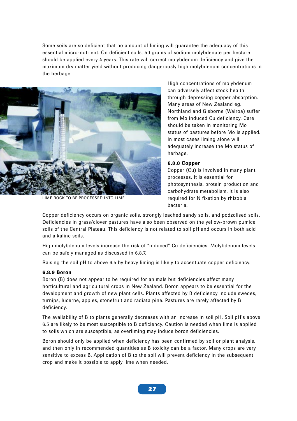Some soils are so deficient that no amount of liming will guarantee the adequacy of this essential micro-nutrient. On deficient soils, 50 grams of sodium molybdenate per hectare should be applied every 4 years. This rate will correct molybdenum deficiency and give the maximum dry matter yield without producing dangerously high molybdenum concentrations in the herbage.



LIME ROCK TO BE PROCESSED INTO LIME

High concentrations of molybdenum can adversely affect stock health through depressing copper absorption. Many areas of New Zealand eg. Northland and Gisborne (Wairoa) suffer from Mo induced Cu deficiency. Care should be taken in monitoring Mo status of pastures before Mo is applied. In most cases liming alone will adequately increase the Mo status of herbage.

#### **6.8.8 Copper**

Copper (Cu) is involved in many plant processes. It is essential for photosynthesis, protein production and carbohydrate metabolism. It is also required for N fixation by rhizobia bacteria.

Copper deficiency occurs on organic soils, strongly leached sandy soils, and podzolised soils. Deficiencies in grass/clover pastures have also been observed on the yellow-brown pumice soils of the Central Plateau. This deficiency is not related to soil pH and occurs in both acid and alkaline soils.

High molybdenum levels increase the risk of "induced" Cu deficiencies. Molybdenum levels can be safely managed as discussed in 6.8.7.

Raising the soil pH to above 6.5 by heavy liming is likely to accentuate copper deficiency.

#### **6.8.9 Boron**

Boron (B) does not appear to be required for animals but deficiencies affect many horticultural and agricultural crops in New Zealand. Boron appears to be essential for the development and growth of new plant cells. Plants affected by B deficiency include swedes, turnips, lucerne, apples, stonefruit and radiata pine. Pastures are rarely affected by B deficiency.

The availability of B to plants generally decreases with an increase in soil pH. Soil pH's above 6.5 are likely to be most susceptible to B deficiency. Caution is needed when lime is applied to soils which are susceptible, as overliming may induce boron deficiencies.

Boron should only be applied when deficiency has been confirmed by soil or plant analysis, and then only in recommended quantities as B toxicity can be a factor. Many crops are very sensitive to excess B. Application of B to the soil will prevent deficiency in the subsequent crop and make it possible to apply lime when needed.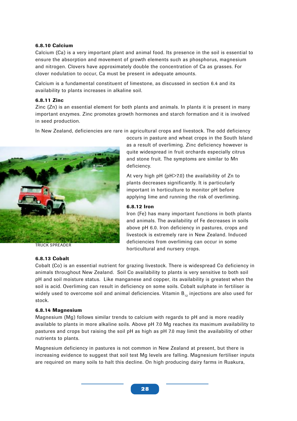#### **6.8.10 Calcium**

Calcium (Ca) is a very important plant and animal food. Its presence in the soil is essential to ensure the absorption and movement of growth elements such as phosphorus, magnesium and nitrogen. Clovers have approximately double the concentration of Ca as grasses. For clover nodulation to occur, Ca must be present in adequate amounts.

Calcium is a fundamental constituent of limestone, as discussed in section 6.4 and its availability to plants increases in alkaline soil.

#### **6.8.11 Zinc**

Zinc (Zn) is an essential element for both plants and animals. In plants it is present in many important enzymes. Zinc promotes growth hormones and starch formation and it is involved in seed production.

In New Zealand, deficiencies are rare in agricultural crops and livestock. The odd deficiency



TRUCK SPREADER

#### **6.8.13 Cobalt**

occurs in pasture and wheat crops in the South Island as a result of overliming. Zinc deficiency however is quite widespread in fruit orchards especially citrus and stone fruit. The symptoms are similar to Mn deficiency.

At very high pH (pH>7.0) the availability of Zn to plants decreases significantly. It is particularly important in horticulture to monitor pH before applying lime and running the risk of overliming.

#### **6.8.12 Iron**

Iron (Fe) has many important functions in both plants and animals. The availability of Fe decreases in soils above pH 6.0. Iron deficiency in pastures, crops and livestock is extremely rare in New Zealand. Induced deficiencies from overliming can occur in some horticultural and nursery crops.

Cobalt (Co) is an essential nutrient for grazing livestock. There is widespread Co deficiency in animals throughout New Zealand. Soil Co availability to plants is very sensitive to both soil pH and soil moisture status. Like manganese and copper, its availability is greatest when the soil is acid. Overliming can result in deficiency on some soils. Cobalt sulphate in fertiliser is widely used to overcome soil and animal deficiencies. Vitamin  $B_{12}$  injections are also used for stock.

#### **6.8.14 Magnesium**

Magnesium (Mg) follows similar trends to calcium with regards to pH and is more readily available to plants in more alkaline soils. Above pH 7.0 Mg reaches its maximum availability to pastures and crops but raising the soil pH as high as pH 7.0 may limit the availability of other nutrients to plants.

Magnesium deficiency in pastures is not common in New Zealand at present, but there is increasing evidence to suggest that soil test Mg levels are falling. Magnesium fertiliser inputs are required on many soils to halt this decline. On high producing dairy farms in Ruakura,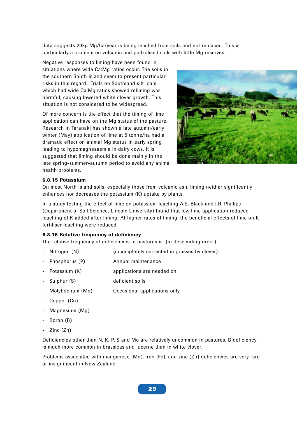data suggests 20kg Mg/ha/year is being leached from soils and not replaced. This is particularly a problem on volcanic and podzolised soils with little Mg reserves.

Negative responses to liming have been found in situations where wide Ca:Mg ratios occur. The soils in the southern South Island seem to present particular risks in this regard. Trials on Southland silt loam which had wide Ca:Mg ratios showed reliming was harmful, causing lowered white clover growth. This situation is not considered to be widespread.

Of more concern is the effect that the timing of lime application can have on the Mg status of the pasture. Research in Taranaki has shown a late autumn/early winter (May) application of lime at 5 tonne/ha had a dramatic effect on animal Mg status in early spring leading to hypomagnesaemia in dairy cows. It is suggested that liming should be done mainly in the late spring-summer-autumn period to avoid any animal health problems.



#### **6.8.15 Potassium**

On most North Island soils, especially those from volcanic ash, liming neither significantly enhances nor decreases the potassium (K) uptake by plants.

In a study testing the effect of lime on potassium leaching A.S. Black and I.R. Phillips (Department of Soil Science, Lincoln University) found that low lime application reduced leaching of K added after liming. At higher rates of liming, the beneficial effects of lime on K fertiliser leaching were reduced.

#### **6.8.16 Relative frequency of deficiency**

The relative frequency of deficiencies in pastures is: (in descending order)

- Nitrogen (N) (incompletely corrected in grasses by clover)
- Phosphorus (P) **Annual maintenance**
- Potassium (K) applications are needed on
- Sulphur (S) deficient soils.
- Molybdenum (Mo) **Occasional applications only**
- Copper (Cu)
- Magnesium (Mg)
- Boron (B)
- Zinc (Zn)

Deficiencies other than N, K, P, S and Mo are relatively uncommon in pastures. B deficiency is much more common in brassicas and lucerne than in white clover.

Problems associated with manganese (Mn), iron (Fe), and zinc (Zn) deficiencies are very rare or insignificant in New Zealand.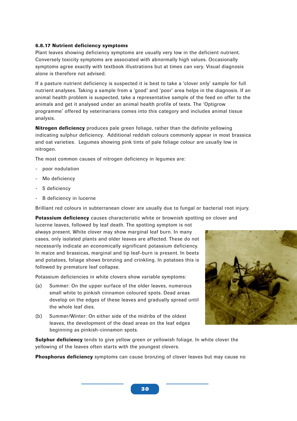#### **6.8.17 Nutrient deficiency symptoms**

Plant leaves showing deficiency symptoms are usually very low in the deficient nutrient. Conversely toxicity symptoms are associated with abnormally high values. Occasionally symptoms agree exactly with textbook illustrations but at times can vary. Visual diagnosis alone is therefore not advised.

If a pasture nutrient deficiency is suspected it is best to take a 'clover only' sample for full nutrient analyses. Taking a sample from a 'good' and 'poor' area helps in the diagnosis. If an animal health problem is suspected, take a representative sample of the feed on offer to the animals and get it analysed under an animal health profile of tests. The 'Optigrow programme' offered by veterinarians comes into this category and includes animal tissue analysis.

**Nitrogen deficiency** produces pale green foliage, rather than the definite yellowing indicating sulphur deficiency. Additional reddish colours commonly appear in most brassica and oat varieties. Legumes showing pink tints of pale foliage colour are usually low in nitrogen.

The most common causes of nitrogen deficiency in legumes are:

- poor nodulation
- Mo deficiency
- S deficiency
- B deficiency in lucerne

Brilliant red colours in subterranean clover are usually due to fungal or bacterial root injury.

**Potassium deficiency** causes characteristic white or brownish spotting on clover and

lucerne leaves, followed by leaf death. The spotting symptom is not always present. White clover may show marginal leaf burn. In many cases, only isolated plants and older leaves are affected. These do not necessarily indicate an economically significant potassium deficiency. In maize and brassicas, marginal and tip leaf-burn is present. In beets and potatoes, foliage shows bronzing and crinkling. In potatoes this is followed by premature leaf collapse.

Potassium deficiencies in white clovers show variable symptoms:

- (a) Summer: On the upper surface of the older leaves, numerous small white to pinkish cinnamon coloured spots. Dead areas develop on the edges of these leaves and gradually spread until the whole leaf dies.
- (b) Summer/Winter: On either side of the midribs of the oldest leaves, the development of the dead areas on the leaf edges beginning as pinkish-cinnamon spots.



**Sulphur deficiency** tends to give yellow green or yellowish foliage. In white clover the yellowing of the leaves often starts with the youngest clovers.

**Phosphorus deficiency** symptoms can cause bronzing of clover leaves but may cause no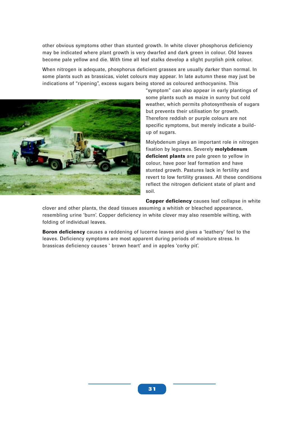other obvious symptoms other than stunted growth. In white clover phosphorus deficiency may be indicated where plant growth is very dwarfed and dark green in colour. Old leaves become pale yellow and die. With time all leaf stalks develop a slight purplish pink colour.

When nitrogen is adequate, phosphorus deficient grasses are usually darker than normal. In some plants such as brassicas, violet colours may appear. In late autumn these may just be indications of "ripening", excess sugars being stored as coloured anthocyanins. This



"symptom" can also appear in early plantings of some plants such as maize in sunny but cold weather, which permits photosynthesis of sugars but prevents their utilisation for growth. Therefore reddish or purple colours are not specific symptoms, but merely indicate a buildup of sugars.

Molybdenum plays an important role in nitrogen fixation by legumes. Severely **molybdenum deficient plants** are pale green to yellow in colour, have poor leaf formation and have stunted growth. Pastures lack in fertility and revert to low fertility grasses. All these conditions reflect the nitrogen deficient state of plant and soil.

**Copper deficiency** causes leaf collapse in white

clover and other plants, the dead tissues assuming a whitish or bleached appearance, resembling urine 'burn'. Copper deficiency in white clover may also resemble wilting, with folding of individual leaves.

**Boron deficiency** causes a reddening of lucerne leaves and gives a 'leathery' feel to the leaves. Deficiency symptoms are most apparent during periods of moisture stress. In brassicas deficiency causes ' brown heart' and in apples 'corky pit'.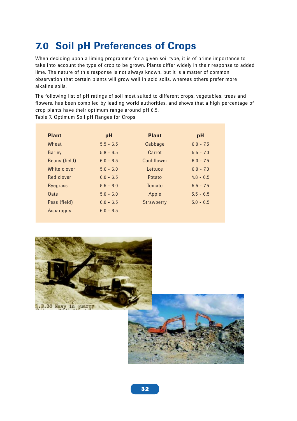## **7.0 Soil pH Preferences of Crops**

When deciding upon a liming programme for a given soil type, it is of prime importance to take into account the type of crop to be grown. Plants differ widely in their response to added lime. The nature of this response is not always known, but it is a matter of common observation that certain plants will grow well in acid soils, whereas others prefer more alkaline soils.

The following list of pH ratings of soil most suited to different crops, vegetables, trees and flowers, has been compiled by leading world authorities, and shows that a high percentage of crop plants have their optimum range around pH 6.5.

Table 7. Optimum Soil pH Ranges for Crops

| <b>Plant</b>  | pH          | <b>Plant</b> | pH          |
|---------------|-------------|--------------|-------------|
| Wheat         | $5.5 - 6.5$ | Cabbage      | $6.0 - 7.5$ |
| <b>Barley</b> | $5.8 - 6.5$ | Carrot       | $5.5 - 7.0$ |
| Beans (field) | $6.0 - 6.5$ | Cauliflower  | $6.0 - 7.5$ |
| White clover  | $5.6 - 6.0$ | Lettuce      | $6.0 - 7.0$ |
| Red clover    | $6.0 - 6.5$ | Potato       | $4.8 - 6.5$ |
| Ryegrass      | $5.5 - 6.0$ | Tomato       | $5.5 - 7.5$ |
| Oats          | $5.0 - 6.0$ | Apple        | $5.5 - 6.5$ |
| Peas (field)  | $6.0 - 6.5$ | Strawberry   | $5.0 - 6.5$ |
| Asparagus     | $6.0 - 6.5$ |              |             |

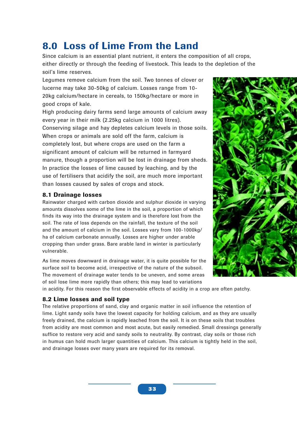## **8.0 Loss of Lime From the Land**

Since calcium is an essential plant nutrient, it enters the composition of all crops, either directly or through the feeding of livestock. This leads to the depletion of the soil's lime reserves.

Legumes remove calcium from the soil. Two tonnes of clover or lucerne may take 30-50kg of calcium. Losses range from 10- 20kg calcium/hectare in cereals, to 150kg/hectare or more in good crops of kale.

High producing dairy farms send large amounts of calcium away every year in their milk (2.25kg calcium in 1000 litres). Conserving silage and hay depletes calcium levels in those soils. When crops or animals are sold off the farm, calcium is completely lost, but where crops are used on the farm a significant amount of calcium will be returned in farmyard manure, though a proportion will be lost in drainage from sheds. In practice the losses of lime caused by leaching, and by the use of fertilisers that acidify the soil, are much more important than losses caused by sales of crops and stock.

## **8.1 Drainage losses**

Rainwater charged with carbon dioxide and sulphur dioxide in varying amounts dissolves some of the lime in the soil, a proportion of which finds its way into the drainage system and is therefore lost from the soil. The rate of loss depends on the rainfall, the texture of the soil and the amount of calcium in the soil. Losses vary from 100-1000kg/ ha of calcium carbonate annually. Losses are higher under arable cropping than under grass. Bare arable land in winter is particularly vulnerable.

As lime moves downward in drainage water, it is quite possible for the surface soil to become acid, irrespective of the nature of the subsoil. The movement of drainage water tends to be uneven, and some areas of soil lose lime more rapidly than others; this may lead to variations



in acidity. For this reason the first observable effects of acidity in a crop are often patchy.

## **8.2 Lime losses and soil type**

The relative proportions of sand, clay and organic matter in soil influence the retention of lime. Light sandy soils have the lowest capacity for holding calcium, and as they are usually freely drained, the calcium is rapidly leached from the soil. It is on these soils that troubles from acidity are most common and most acute, but easily remedied. Small dressings generally suffice to restore very acid and sandy soils to neutrality. By contrast, clay soils or those rich in humus can hold much larger quantities of calcium. This calcium is tightly held in the soil, and drainage losses over many years are required for its removal.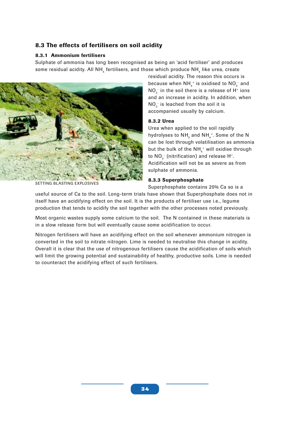## **8.3 The effects of fertilisers on soil acidity**

#### **8.3.1 Ammonium fertilisers**

Sulphate of ammonia has long been recognised as being an 'acid fertiliser' and produces some residual acidity. All NH $_{\textrm{\tiny{A}}}$  fertilisers, and those which produce NH $_{\textrm{\tiny{A}}}$  like urea, create



residual acidity. The reason this occurs is because when NH $_{{\scriptscriptstyle 4}}^{\scriptscriptstyle +}$  is oxidised to NO $_{{\scriptscriptstyle 2}}^{\scriptscriptstyle -}$  and NO $_3^{\text{-}}$  in the soil there is a release of H $^{\text{+}}$  ions and an increase in acidity. In addition, when  $\mathsf{NO}_3^-$  is leached from the soil it is accompanied usually by calcium.

#### **8.3.2 Urea**

Urea when applied to the soil rapidly hydrolyses to NH $_{\rm_3}$  and NH $_{\rm_4}^+$ . Some of the N can be lost through volatilisation as ammonia but the bulk of the NH $_{{\scriptscriptstyle 4}}^{\scriptscriptstyle +}$  will oxidise through to NO $_3^-$  (nitrification) and release H+. Acidification will not be as severe as from sulphate of ammonia.

#### **8.3.3 Superphosphate**

Superphosphate contains 20% Ca so is a

useful source of Ca to the soil. Long-term trials have shown that Superphosphate does not in itself have an acidifying effect on the soil. It is the products of fertiliser use i.e., legume production that tends to acidify the soil together with the other processes noted previously.

Most organic wastes supply some calcium to the soil. The N contained in these materials is in a slow release form but will eventually cause some acidification to occur.

Nitrogen fertilisers will have an acidifying effect on the soil whenever ammonium nitrogen is converted in the soil to nitrate nitrogen. Lime is needed to neutralise this change in acidity. Overall it is clear that the use of nitrogenous fertilisers cause the acidification of soils which will limit the growing potential and sustainability of healthy, productive soils. Lime is needed to counteract the acidifying effect of such fertilisers.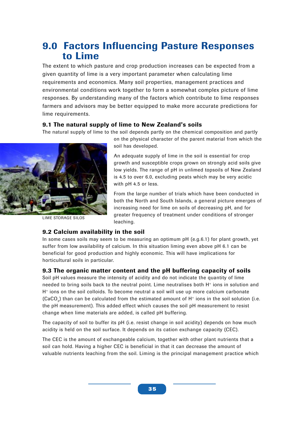## **9.0 Factors Influencing Pasture Responses to Lime**

The extent to which pasture and crop production increases can be expected from a given quantity of lime is a very important parameter when calculating lime requirements and economics. Many soil properties, management practices and environmental conditions work together to form a somewhat complex picture of lime responses. By understanding many of the factors which contribute to lime responses farmers and advisors may be better equipped to make more accurate predictions for lime requirements.

## **9.1 The natural supply of lime to New Zealand's soils**

The natural supply of lime to the soil depends partly on the chemical composition and partly



LIME STORAGE SILOS

on the physical character of the parent material from which the soil has developed.

An adequate supply of lime in the soil is essential for crop growth and susceptible crops grown on strongly acid soils give low yields. The range of pH in unlimed topsoils of New Zealand is 4.5 to over 6.0, excluding peats which may be very acidic with pH 4.5 or less.

From the large number of trials which have been conducted in both the North and South Islands, a general picture emerges of increasing need for lime on soils of decreasing pH, and for greater frequency of treatment under conditions of stronger leaching.

## **9.2 Calcium availability in the soil**

In some cases soils may seem to be measuring an optimum pH (e.g.6.1) for plant growth, yet suffer from low availability of calcium. In this situation liming even above pH 6.1 can be beneficial for good production and highly economic. This will have implications for horticultural soils in particular.

## **9.3 The organic matter content and the pH buffering capacity of soils**

Soil pH values measure the intensity of acidity and do not indicate the quantity of lime needed to bring soils back to the neutral point. Lime neutralises both H<sup>+</sup> ions in solution and H+ ions on the soil colloids. To become neutral a soil will use up more calcium carbonate (CaCO<sub>3</sub>) than can be calculated from the estimated amount of H<sup>+</sup> ions in the soil solution (i.e. the pH measurement). This added effect which causes the soil pH measurement to resist change when lime materials are added, is called pH buffering.

The capacity of soil to buffer its pH (i.e. resist change in soil acidity) depends on how much acidity is held on the soil surface. It depends on its cation exchange capacity (CEC).

The CEC is the amount of exchangeable calcium, together with other plant nutrients that a soil can hold. Having a higher CEC is beneficial in that it can decrease the amount of valuable nutrients leaching from the soil. Liming is the principal management practice which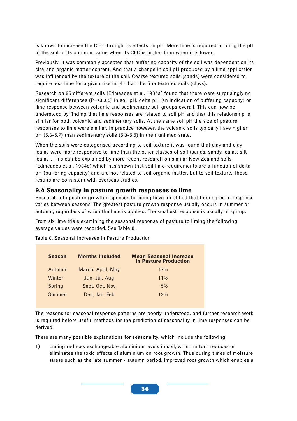is known to increase the CEC through its effects on pH. More lime is required to bring the pH of the soil to its optimum value when its CEC is higher than when it is lower.

Previously, it was commonly accepted that buffering capacity of the soil was dependent on its clay and organic matter content. And that a change in soil pH produced by a lime application was influenced by the texture of the soil. Coarse textured soils (sands) were considered to require less lime for a given rise in pH than the fine textured soils (clays).

Research on 95 different soils (Edmeades et al. 1984a) found that there were surprisingly no significant differences (P=<0.05) in soil pH, delta pH (an indication of buffering capacity) or lime response between volcanic and sedimentary soil groups overall. This can now be understood by finding that lime responses are related to soil pH and that this relationship is similar for both volcanic and sedimentary soils. At the same soil pH the size of pasture responses to lime were similar. In practice however, the volcanic soils typically have higher pH (5.6-5.7) than sedimentary soils (5.3-5.5) in their unlimed state.

When the soils were categorised according to soil texture it was found that clay and clay loams were more responsive to lime than the other classes of soil (sands, sandy loams, silt loams). This can be explained by more recent research on similar New Zealand soils (Edmeades et al. 1984c) which has shown that soil lime requirements are a function of delta pH (buffering capacity) and are not related to soil organic matter, but to soil texture. These results are consistent with overseas studies.

## **9.4 Seasonality in pasture growth responses to lime**

Research into pasture growth responses to liming have identified that the degree of response varies between seasons. The greatest pasture growth response usually occurs in summer or autumn, regardless of when the lime is applied. The smallest response is usually in spring.

From six lime trials examining the seasonal response of pasture to liming the following average values were recorded. See Table 8.

| <b>Season</b> | <b>Months Included</b> | <b>Mean Seasonal Increase</b><br>in Pasture Production |
|---------------|------------------------|--------------------------------------------------------|
| Autumn        | March, April, May      | 17%                                                    |
| Winter        | Jun, Jul, Aug          | $11\%$                                                 |
| Spring        | Sept, Oct, Nov         | $5\%$                                                  |
| Summer        | Dec. Jan. Feb.         | 13%                                                    |

Table 8. Seasonal Increases in Pasture Production

The reasons for seasonal response patterns are poorly understood, and further research work is required before useful methods for the prediction of seasonality in lime responses can be derived.

There are many possible explanations for seasonality, which include the following:

1) Liming reduces exchangeable aluminium levels in soil, which in turn reduces or eliminates the toxic effects of aluminium on root growth. Thus during times of moisture stress such as the late summer - autumn period, improved root growth which enables a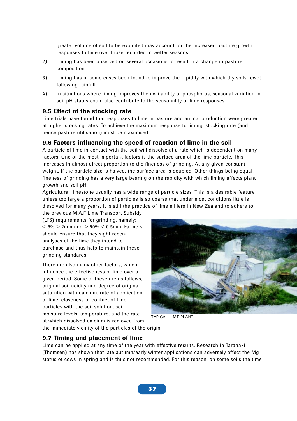greater volume of soil to be exploited may account for the increased pasture growth responses to lime over those recorded in wetter seasons.

- 2) Liming has been observed on several occasions to result in a change in pasture composition.
- 3) Liming has in some cases been found to improve the rapidity with which dry soils rewet following rainfall.
- 4) In situations where liming improves the availability of phosphorus, seasonal variation in soil pH status could also contribute to the seasonality of lime responses.

#### **9.5 Effect of the stocking rate**

Lime trials have found that responses to lime in pasture and animal production were greater at higher stocking rates. To achieve the maximum response to liming, stocking rate (and hence pasture utilisation) must be maximised.

#### **9.6 Factors influencing the speed of reaction of lime in the soil**

A particle of lime in contact with the soil will dissolve at a rate which is dependent on many factors. One of the most important factors is the surface area of the lime particle. This increases in almost direct proportion to the fineness of grinding. At any given constant weight, if the particle size is halved, the surface area is doubled. Other things being equal, fineness of grinding has a very large bearing on the rapidity with which liming affects plant growth and soil pH.

Agricultural limestone usually has a wide range of particle sizes. This is a desirable feature unless too large a proportion of particles is so coarse that under most conditions little is dissolved for many years. It is still the practice of lime millers in New Zealand to adhere to

the previous M.A.F Lime Transport Subsidy (LTS) requirements for grinding, namely:  $<$  5%  $>$  2mm and  $>$  50%  $<$  0.5mm. Farmers should ensure that they sight recent analyses of the lime they intend to purchase and thus help to maintain these grinding standards.

There are also many other factors, which influence the effectiveness of lime over a given period. Some of these are as follows; original soil acidity and degree of original saturation with calcium, rate of application of lime, closeness of contact of lime particles with the soil solution, soil moisture levels, temperature, and the rate



TYPICAL LIME PLANT

at which dissolved calcium is removed from the immediate vicinity of the particles of the origin.

### **9.7 Timing and placement of lime**

Lime can be applied at any time of the year with effective results. Research in Taranaki (Thomsen) has shown that late autumn/early winter applications can adversely affect the Mg status of cows in spring and is thus not recommended. For this reason, on some soils the time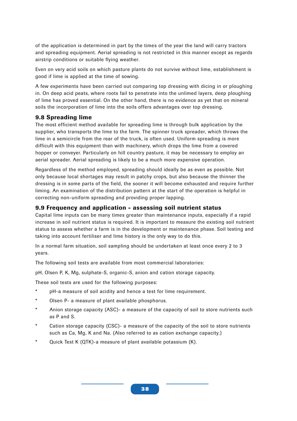of the application is determined in part by the times of the year the land will carry tractors and spreading equipment. Aerial spreading is not restricted in this manner except as regards airstrip conditions or suitable flying weather.

Even on very acid soils on which pasture plants do not survive without lime, establishment is good if lime is applied at the time of sowing.

A few experiments have been carried out comparing top dressing with dicing in or ploughing in. On deep acid peats, where roots fail to penetrate into the unlimed layers, deep ploughing of lime has proved essential. On the other hand, there is no evidence as yet that on mineral soils the incorporation of lime into the soils offers advantages over top dressing.

## **9.8 Spreading lime**

The most efficient method available for spreading lime is through bulk application by the supplier, who transports the lime to the farm. The spinner truck spreader, which throws the lime in a semicircle from the rear of the truck, is often used. Uniform spreading is more difficult with this equipment than with machinery, which drops the lime from a covered hopper or conveyer. Particularly on hill country pasture, it may be necessary to employ an aerial spreader. Aerial spreading is likely to be a much more expensive operation.

Regardless of the method employed, spreading should ideally be as even as possible. Not only because local shortages may result in patchy crops, but also because the thinner the dressing is in some parts of the field, the sooner it will become exhausted and require further liming. An examination of the distribution pattern at the start of the operation is helpful in correcting non-uniform spreading and providing proper lapping.

## **9.9 Frequency and application - assessing soil nutrient status**

Capital lime inputs can be many times greater than maintenance inputs, especially if a rapid increase in soil nutrient status is required. It is important to measure the existing soil nutrient status to assess whether a farm is in the development or maintenance phase. Soil testing and taking into account fertiliser and lime history is the only way to do this.

In a normal farm situation, soil sampling should be undertaken at least once every 2 to 3 years.

The following soil tests are available from most commercial laboratories:

pH, Olsen P, K, Mg, sulphate-S, organic-S, anion and cation storage capacity.

These soil tests are used for the following purposes:

- \* pH-a measure of soil acidity and hence a test for lime requirement.
- \* Olsen P- a measure of plant available phosphorus.
- \* Anion storage capacity (ASC)- a measure of the capacity of soil to store nutrients such as P and S.
- Cation storage capacity (CSC)- a measure of the capacity of the soil to store nutrients such as Ca, Mg, K and Na. (Also referred to as cation exchange capacity.)
- Quick Test K (QTK)-a measure of plant available potassium (K).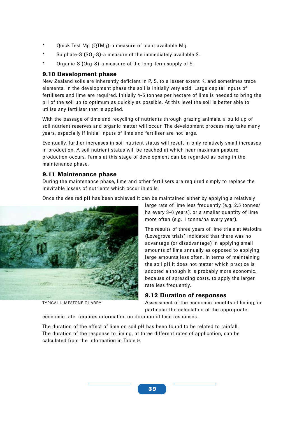- Quick Test Mg (QTMg)-a measure of plant available Mg.
- $^*$  Sulphate-S (SO $_{\textrm{\tiny{4}}}$ -S)-a measure of the immediately available S.
- Organic-S (Org-S)-a measure of the long-term supply of S.

## **9.10 Development phase**

New Zealand soils are inherently deficient in P, S, to a lesser extent K, and sometimes trace elements. In the development phase the soil is initially very acid. Large capital inputs of fertilisers and lime are required. Initially 4-5 tonnes per hectare of lime is needed to bring the pH of the soil up to optimum as quickly as possible. At this level the soil is better able to utilise any fertiliser that is applied.

With the passage of time and recycling of nutrients through grazing animals, a build up of soil nutrient reserves and organic matter will occur. The development process may take many years, especially if initial inputs of lime and fertiliser are not large.

Eventually, further increases in soil nutrient status will result in only relatively small increases in production. A soil nutrient status will be reached at which near maximum pasture production occurs. Farms at this stage of development can be regarded as being in the maintenance phase.

## **9.11 Maintenance phase**

During the maintenance phase, lime and other fertilisers are required simply to replace the inevitable losses of nutrients which occur in soils.

Once the desired pH has been achieved it can be maintained either by applying a relatively



TYPICAL LIMESTONE QUARRY

large rate of lime less frequently (e.g. 2.5 tonnes/ ha every 3-6 years), or a smaller quantity of lime more often (e.g. 1 tonne/ha every year).

The results of three years of lime trials at Waiotira (Lovegrove trials) indicated that there was no advantage (or disadvantage) in applying small amounts of lime annually as opposed to applying large amounts less often. In terms of maintaining the soil pH it does not matter which practice is adopted although it is probably more economic, because of spreading costs, to apply the larger rate less frequently.

## **9.12 Duration of responses**

Assessment of the economic benefits of liming, in particular the calculation of the appropriate

economic rate, requires information on duration of lime responses.

The duration of the effect of lime on soil pH has been found to be related to rainfall. The duration of the response to liming, at three different rates of application, can be calculated from the information in Table 9.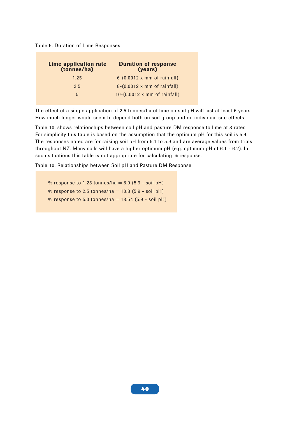Table 9. Duration of Lime Responses

| Lime application rate<br>(tonnes/ha) | <b>Duration of response</b><br>(years)      |
|--------------------------------------|---------------------------------------------|
| 1.25                                 | $6-(0.0012 \times mm \text{ of rainfall})$  |
| 2.5                                  | $8-(0.0012 \times mm \text{ of rainfall})$  |
| 5                                    | $10-(0.0012 \times mm \text{ of rainfall})$ |

The effect of a single application of 2.5 tonnes/ha of lime on soil pH will last at least 6 years. How much longer would seem to depend both on soil group and on individual site effects.

Table 10. shows relationships between soil pH and pasture DM response to lime at 3 rates. For simplicity this table is based on the assumption that the optimum pH for this soil is 5.9. The responses noted are for raising soil pH from 5.1 to 5.9 and are average values from trials throughout NZ. Many soils will have a higher optimum pH (e.g. optimum pH of 6.1 - 6.2). In such situations this table is not appropriate for calculating % response.

Table 10. Relationships between Soil pH and Pasture DM Response

% response to 1.25 tonnes/ha =  $8.9$  (5.9 - soil pH) % response to 2.5 tonnes/ha =  $10.8$  (5.9 - soil pH) % response to 5.0 tonnes/ha =  $13.54$  (5.9 - soil pH)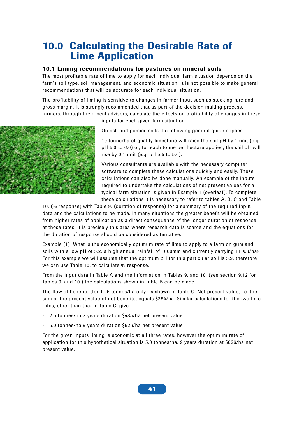## **10.0 Calculating the Desirable Rate of Lime Application**

### **10.1 Liming recommendations for pastures on mineral soils**

The most profitable rate of lime to apply for each individual farm situation depends on the farm's soil type, soil management, and economic situation. It is not possible to make general recommendations that will be accurate for each individual situation.

The profitability of liming is sensitive to changes in farmer input such as stocking rate and gross margin. It is strongly recommended that as part of the decision making process, farmers, through their local advisors, calculate the effects on profitability of changes in these

inputs for each given farm situation.

On ash and pumice soils the following general guide applies.

10 tonne/ha of quality limestone will raise the soil pH by 1 unit (e.g. pH 5.0 to 6.0) or, for each tonne per hectare applied, the soil pH will rise by 0.1 unit (e.g. pH 5.5 to 5.6).

Various consultants are available with the necessary computer software to complete these calculations quickly and easily. These calculations can also be done manually. An example of the inputs required to undertake the calculations of net present values for a typical farm situation is given in Example 1 (overleaf). To complete these calculations it is necessary to refer to tables A, B, C and Table

10. (% response) with Table 9. (duration of response) for a summary of the required input data and the calculations to be made. In many situations the greater benefit will be obtained from higher rates of application as a direct consequence of the longer duration of response at those rates. It is precisely this area where research data is scarce and the equations for the duration of response should be considered as tentative.

Example (1) What is the economically optimum rate of lime to apply to a farm on gumland soils with a low pH of 5.2, a high annual rainfall of 1000mm and currently carrying 11 s.u/ha? For this example we will assume that the optimum pH for this particular soil is 5.9, therefore we can use Table 10. to calculate % response.

From the input data in Table A and the information in Tables 9. and 10. (see section 9.12 for Tables 9. and 10.) the calculations shown in Table B can be made.

The flow of benefits (for 1.25 tonnes/ha only) is shown in Table C. Net present value, i.e. the sum of the present value of net benefits, equals \$254/ha. Similar calculations for the two lime rates, other than that in Table C, give:

- 2.5 tonnes/ha 7 years duration \$435/ha net present value
- 5.0 tonnes/ha 9 years duration \$626/ha net present value

For the given inputs liming is economic at all three rates, however the optimum rate of application for this hypothetical situation is 5.0 tonnes/ha, 9 years duration at \$626/ha net present value.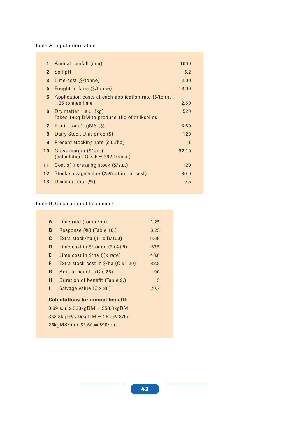Table A. Input information

| $\mathbf{1}$     | Annual rainfall (mm)                                                      | 1000  |
|------------------|---------------------------------------------------------------------------|-------|
| $\overline{2}$   | Soil pH                                                                   | 5.2   |
| 3                | Lime cost (\$/tonne)                                                      | 12.00 |
| 4                | Freight to farm (\$/tonne)                                                | 13.00 |
| 5                | Application costs at each application rate (\$/tonne)<br>1.25 tonnes lime | 12.50 |
| 6                | Dry matter 1 s.u. $(kg)$<br>Takes 14kg DM to produce 1kg of milksolids    | 520   |
| $\overline{ }$   | Profit from 1kgMS (\$)                                                    | 3.60  |
| 8                | Dairy Stock Unit price (\$)                                               | 120   |
| $\boldsymbol{9}$ | Present stocking rate (s.u./ha)                                           | 11    |
| 10               | Gross margin (\$/s.u.)<br>(calculation: $G X F = $62.10/s.u.]$            | 62.10 |
| 11               | Cost of increasing stock (\$/s.u.)                                        | 120   |
| 12 <sub>2</sub>  | Stock salvage value (25% of initial cost)                                 | 30.0  |
| 13               | Discount rate (%)                                                         | 7.5   |
|                  |                                                                           |       |

#### Table B. Calculation of Economics

| A                                       | Lime rate (tonne/ha)                               | 1.25 |  |  |  |
|-----------------------------------------|----------------------------------------------------|------|--|--|--|
| B                                       | Response (%) (Table 10.)                           | 6.23 |  |  |  |
| C                                       | Extra stock/ha (11 x B/100)                        | 0.69 |  |  |  |
| D                                       | Lime cost in $\frac{\zeta}{\zeta}$ conne $(3+4+5)$ | 37.5 |  |  |  |
| E.                                      | Lime cost in $\zeta$ /ha (') x rate)               | 46.8 |  |  |  |
| F                                       | Extra stock cost in $\frac{5}{ha}$ (C x 120)       | 82.8 |  |  |  |
| G                                       | Annual benefit (C x 25)                            | 90   |  |  |  |
| н                                       | Duration of benefit (Table 9.)                     | 5    |  |  |  |
| ı                                       | Salvage value (C x 30)                             | 20.7 |  |  |  |
| <b>Calculations for annual benefit:</b> |                                                    |      |  |  |  |
| 0.69 s.u. x 520kgDM = $358.8$ kgDM      |                                                    |      |  |  |  |
| $358.8kgDM/14kgDM = 25kgMS/ha$          |                                                    |      |  |  |  |

25kgMS/ha x \$3.60 = \$90/ha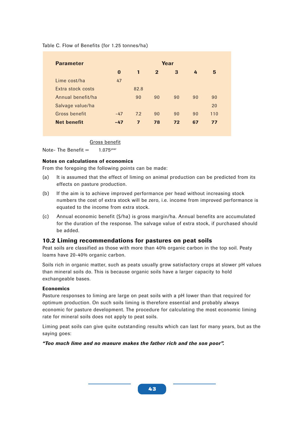| Year     |                |              |    |    |     |
|----------|----------------|--------------|----|----|-----|
| $\bf{0}$ | $\mathbf{1}$   | $\mathbf{2}$ | 3  | 4  | 5   |
| 47       |                |              |    |    |     |
|          | 82.8           |              |    |    |     |
|          | 90             | 90           | 90 | 90 | 90  |
|          |                |              |    |    | 20  |
| $-47$    | 7.2            | 90           | 90 | 90 | 110 |
| $-47$    | $\overline{7}$ | 78           | 72 | 67 | 77  |
|          |                |              |    |    |     |

#### Table C. Flow of Benefits (for 1.25 tonnes/ha)

Gross benefit

Note- The Benefit  $=$  1.075<sup>year</sup>

#### **Notes on calculations of economics**

From the foregoing the following points can be made:

- (a) It is assumed that the effect of liming on animal production can be predicted from its effects on pasture production.
- (b) If the aim is to achieve improved performance per head without increasing stock numbers the cost of extra stock will be zero, i.e. income from improved performance is equated to the income from extra stock.
- (c) Annual economic benefit (\$/ha) is gross margin/ha. Annual benefits are accumulated for the duration of the response. The salvage value of extra stock, if purchased should be added.

#### **10.2 Liming recommendations for pastures on peat soils**

Peat soils are classified as those with more than 40% organic carbon in the top soil. Peaty loams have 20-40% organic carbon.

Soils rich in organic matter, such as peats usually grow satisfactory crops at slower pH values than mineral soils do. This is because organic soils have a larger capacity to hold exchangeable bases.

#### **Economics**

Pasture responses to liming are large on peat soils with a pH lower than that required for optimum production. On such soils liming is therefore essential and probably always economic for pasture development. The procedure for calculating the most economic liming rate for mineral soils does not apply to peat soils.

Liming peat soils can give quite outstanding results which can last for many years, but as the saying goes:

*"Too much lime and no manure makes the father rich and the son poor".*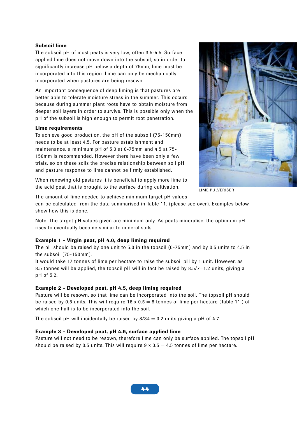#### **Subsoil lime**

The subsoil pH of most peats is very low, often 3.5-4.5. Surface applied lime does not move down into the subsoil, so in order to significantly increase pH below a depth of 75mm, lime must be incorporated into this region. Lime can only be mechanically incorporated when pastures are being resown.

An important consequence of deep liming is that pastures are better able to tolerate moisture stress in the summer. This occurs because during summer plant roots have to obtain moisture from deeper soil layers in order to survive. This is possible only when the pH of the subsoil is high enough to permit root penetration.

#### **Lime requirements**

To achieve good production, the pH of the subsoil (75-150mm) needs to be at least 4.5. For pasture establishment and maintenance, a minimum pH of 5.0 at 0-75mm and 4.5 at 75- 150mm is recommended. However there have been only a few trials, so on these soils the precise relationship between soil pH and pasture response to lime cannot be firmly established.

When renewing old pastures it is beneficial to apply more lime to the acid peat that is brought to the surface during cultivation.



LIME PULVERISER

The amount of lime needed to achieve minimum target pH values

can be calculated from the data summarised in Table 11. (please see over). Examples below show how this is done.

Note: The target pH values given are minimum only. As peats mineralise, the optimium pH rises to eventually become similar to mineral soils.

#### **Example 1 - Virgin peat, pH 4.0, deep liming required**

The pH should be raised by one unit to 5.0 in the topsoil (0-75mm) and by 0.5 units to 4.5 in the subsoil (75-150mm).

It would take 17 tonnes of lime per hectare to raise the subsoil pH by 1 unit. However, as 8.5 tonnes will be applied, the topsoil pH will in fact be raised by 8.5/7=1.2 units, giving a pH of 5.2.

#### **Example 2 - Developed peat, pH 4.5, deep liming required**

Pasture will be resown, so that lime can be incorporated into the soil. The topsoil pH should be raised by 0.5 units. This will require  $16 \times 0.5 = 8$  tonnes of lime per hectare (Table 11.) of which one half is to be incorporated into the soil.

The subsoil pH will incidentally be raised by  $8/34 = 0.2$  units giving a pH of 4.7.

#### **Example 3 - Developed peat, pH 4.5, surface applied lime**

Pasture will not need to be resown, therefore lime can only be surface applied. The topsoil pH should be raised by 0.5 units. This will require  $9 \times 0.5 = 4.5$  tonnes of lime per hectare.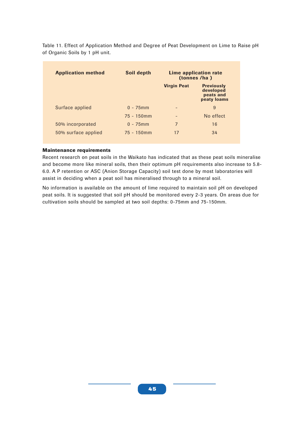Table 11. Effect of Application Method and Degree of Peat Development on Lime to Raise pH of Organic Soils by 1 pH unit.

| <b>Application method</b> | Soil depth    | Lime application rate<br>(tonnes /ha) |                                                            |
|---------------------------|---------------|---------------------------------------|------------------------------------------------------------|
|                           |               | <b>Virgin Peat</b>                    | <b>Previously</b><br>developed<br>peats and<br>peaty loams |
| Surface applied           | $0 - 75$ mm   | $\qquad \qquad$                       | 9                                                          |
|                           | $75 - 150$ mm | -                                     | No effect                                                  |
| 50% incorporated          | $0 - 75$ mm   | 7                                     | 16                                                         |
| 50% surface applied       | $75 - 150$ mm | 17                                    | 34                                                         |

#### **Maintenance requirements**

Recent research on peat soils in the Waikato has indicated that as these peat soils mineralise and become more like mineral soils, then their optimum pH requirements also increase to 5.8- 6.0. A P retention or ASC (Anion Storage Capacity) soil test done by most laboratories will assist in deciding when a peat soil has mineralised through to a mineral soil.

No information is available on the amount of lime required to maintain soil pH on developed peat soils. It is suggested that soil pH should be monitored every 2-3 years. On areas due for cultivation soils should be sampled at two soil depths: 0-75mm and 75-150mm.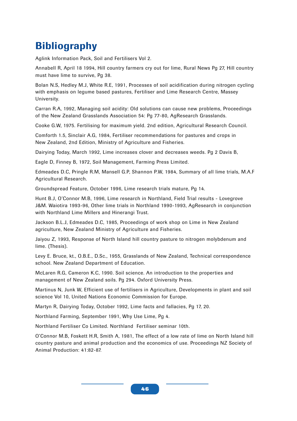## **Bibliography**

Aglink Information Pack, Soil and Fertilisers Vol 2.

Annabell R, April 18 1994, Hill country farmers cry out for lime, Rural News Pg 27, Hill country must have lime to survive, Pg 38.

Bolan N.S, Hedley M.J, White R.E, 1991, Processes of soil acidification during nitrogen cycling with emphasis on legume based pastures, Fertiliser and Lime Research Centre, Massey University.

Carran R.A, 1992, Managing soil acidity: Old solutions can cause new problems, Proceedings of the New Zealand Grasslands Association 54: Pg 77-80, AgResearch Grasslands.

Cooke G.W, 1975. Fertilising for maximum yield. 2nd edition, Agricultural Research Council.

Comforth 1.5, Sinclair A.G, 1984, Fertiliser recommendations for pastures and crops in New Zealand, 2nd Edition, Ministry of Agriculture and Fisheries.

Dairying Today, March 1992, Lime increases clover and decreases weeds. Pg 2 Davis B,

Eagle D, Finney B, 1972, Soil Management, Farming Press Limited.

Edmeades D.C, Pringle R.M, Mansell G.P, Shannon P.W, 1984, Summary of all lime trials, M.A.F Agricultural Research.

Groundspread Feature, October 1996, Lime research trials mature, Pg 14.

Hunt B.J, O'Connor M.B, 1996, Lime research in Northland, Field Trial results - Lovegrove J&M. Waiotira 1993-96, Other lime trials in Northland 1990-1993, AgResearch in conjunction with Northland Lime Millers and Hinerangi Trust.

Jackson B.L.J, Edmeades D.C, 1985, Proceedings of work shop on Lime in New Zealand agriculture, New Zealand Ministry of Agriculture and Fisheries.

Jaiyou Z, 1993, Response of North Island hill country pasture to nitrogen molybdenum and lime. (Thesis).

Levy E. Bruce, kt., O.B.E., D.Sc., 1955, Grasslands of New Zealand, Technical correspondence school. New Zealand Department of Education.

McLaren R.G, Cameron K.C, 1990. Soil science. An introduction to the properties and management of New Zealand soils. Pg 294. Oxford University Press.

Martinus N, Junk W, Efficient use of fertilisers in Agriculture, Developments in plant and soil science Vol 10, United Nations Economic Commission for Europe.

Martyn R, Dairying Today, October 1992, Lime facts and fallacies, Pg 17, 20.

Northland Farming, September 1991, Why Use Lime, Pg 4.

Northland Fertiliser Co Limited. Northland Fertiliser seminar 10th.

O'Connor M.B, Foskett H.R, Smith A, 1981, The effect of a low rate of lime on North Island hill country pasture and animal production and the economics of use. Proceedings NZ Society of Animal Production: 41:82-87.